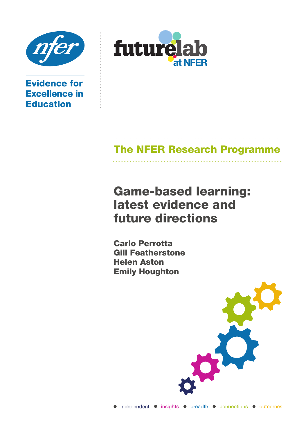

**Evidence for Excellence in Education** 



# The NFER Research Programme

# Game-based learning: latest evidence and future directions

Carlo Perrotta Gill Featherstone Helen Aston Emily Houghton

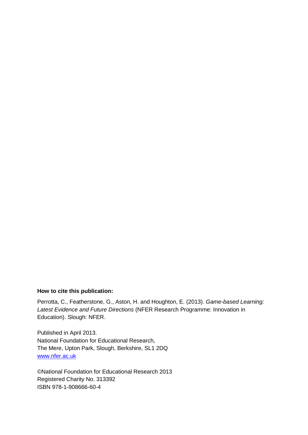#### **How to cite this publication:**

Perrotta, C., Featherstone, G., Aston, H. and Houghton, E. (2013). *Game-based Learning: Latest Evidence and Future Directions* (NFER Research Programme: Innovation in Education). Slough: NFER.

Published in April 2013. National Foundation for Educational Research, The Mere, Upton Park, Slough, Berkshire, SL1 2DQ [www.nfer.ac.uk](http://www.nfer.ac.uk/)

©National Foundation for Educational Research 2013 Registered Charity No. 313392 ISBN 978-1-908666-60-4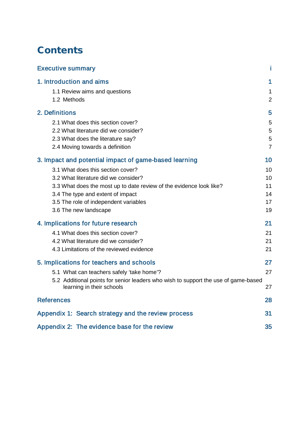## **Contents**

| <b>Executive summary</b>                                                                                        | Ĩ              |
|-----------------------------------------------------------------------------------------------------------------|----------------|
| 1. Introduction and aims                                                                                        | 1              |
| 1.1 Review aims and questions                                                                                   | 1              |
| 1.2 Methods                                                                                                     | $\overline{2}$ |
| 2. Definitions                                                                                                  | 5              |
| 2.1 What does this section cover?                                                                               | 5              |
| 2.2 What literature did we consider?                                                                            | 5              |
| 2.3 What does the literature say?                                                                               | 5              |
| 2.4 Moving towards a definition                                                                                 | $\overline{7}$ |
| 3. Impact and potential impact of game-based learning                                                           | 10             |
| 3.1 What does this section cover?                                                                               | 10             |
| 3.2 What literature did we consider?                                                                            | 10             |
| 3.3 What does the most up to date review of the evidence look like?                                             | 11             |
| 3.4 The type and extent of impact                                                                               | 14             |
| 3.5 The role of independent variables                                                                           | 17             |
| 3.6 The new landscape                                                                                           | 19             |
| 4. Implications for future research                                                                             | 21             |
| 4.1 What does this section cover?                                                                               | 21             |
| 4.2 What literature did we consider?                                                                            | 21             |
| 4.3 Limitations of the reviewed evidence                                                                        | 21             |
| 5. Implications for teachers and schools                                                                        | 27             |
| 5.1 What can teachers safely 'take home'?                                                                       | 27             |
| 5.2 Additional points for senior leaders who wish to support the use of game-based<br>learning in their schools | 27             |
| <b>References</b>                                                                                               | 28             |
| Appendix 1: Search strategy and the review process                                                              | 31             |
| Appendix 2: The evidence base for the review                                                                    | 35             |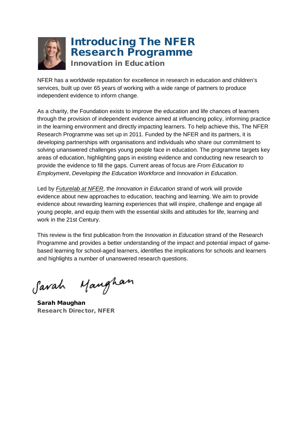

# Introducing The NFER **Research Programme**

Innovation in Education

NFER has a worldwide reputation for excellence in research in education and children's services, built up over 65 years of working with a wide range of partners to produce independent evidence to inform change.

As a charity, the Foundation exists to improve the education and life chances of learners through the provision of independent evidence aimed at influencing policy, informing practice in the learning environment and directly impacting learners. To help achieve this, The NFER Research Programme was set up in 2011. Funded by the NFER and its partners, it is developing partnerships with organisations and individuals who share our commitment to solving unanswered challenges young people face in education. The programme targets key areas of education, highlighting gaps in existing evidence and conducting new research to provide the evidence to fill the gaps. Current areas of focus are *From Education to Employment*, *Developing the Education Workforce* and *Innovation in Education*.

Led by *[Futurelab at NFER](http://www.nfer.ac.uk/what-we-do/futurelab-research/)*, the *Innovation in Education* strand of work will provide evidence about new approaches to education, teaching and learning. We aim to provide evidence about rewarding learning experiences that will inspire, challenge and engage all young people, and equip them with the essential skills and attitudes for life, learning and work in the 21st Century.

This review is the first publication from the *Innovation in Education* strand of the Research Programme and provides a better understanding of the impact and potential impact of gamebased learning for school-aged learners, identifies the implications for schools and learners and highlights a number of unanswered research questions.

Savah Manghan

Sarah Maughan Research Director, NFER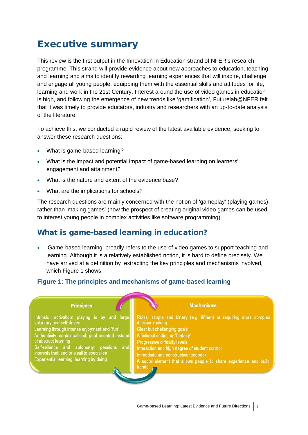## Executive summary

This review is the first output in the Innovation in Education strand of NFER's research programme. This strand will provide evidence about new approaches to education, teaching and learning and aims to identify rewarding learning experiences that will inspire, challenge and engage all young people, equipping them with the essential skills and attitudes for life, learning and work in the 21st Century. Interest around the use of video games in education is high, and following the emergence of new trends like 'gamification', Futurelab@NFER felt that it was timely to provide educators, industry and researchers with an up-to-date analysis of the literature.

To achieve this, we conducted a rapid review of the latest available evidence, seeking to answer these research questions:

- What is game-based learning?
- What is the impact and potential impact of game-based learning on learners' engagement and attainment?
- What is the nature and extent of the evidence base?
- What are the implications for schools?

The research questions are mainly concerned with the notion of 'gameplay' (playing games) rather than 'making games' (how the prospect of creating original video games can be used to interest young people in complex activities like software programming).

#### What is game-based learning in education?

• 'Game-based learning' broadly refers to the use of video games to support teaching and learning. Although it is a relatively established notion, it is hard to define precisely. We have arrived at a definition by extracting the key principles and mechanisms involved, which Figure 1 shows.

#### **Figure 1: The principles and mechanisms of game-based learning**

#### **Principles**

Intrinsic motivation: playing is by and large voluntary and self-driven

Learning through intense enjoyment and "fun" Authenticity: contextualised, goal oriented instead of abstract learning

Self-reliance and autonomy: passions and interests that lead to a will to specialise

Experiential learning: learning by doing.

#### **Mechanisms**

Rules: simple and binary (e.g. if/then) or requiring more complex decision making Clear but challenging goals A fictional setting or "fantasy" **Progressive difficulty levels** Interaction and high degree of student control Immediate and constructive feedback A social element that allows people to share experience and build **bonds**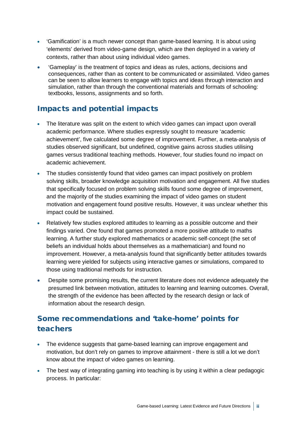- 'Gamification' is a much newer concept than game-based learning. It is about using 'elements' derived from video-game design, which are then deployed in a variety of contexts, rather than about using individual video games.
- 'Gameplay' is the treatment of topics and ideas as rules, actions, decisions and consequences, rather than as content to be communicated or assimilated. Video games can be seen to allow learners to engage with topics and ideas through interaction and simulation, rather than through the conventional materials and formats of schooling: textbooks, lessons, assignments and so forth.

### Impacts and potential impacts

- The literature was split on the extent to which video games can impact upon overall academic performance. Where studies expressly sought to measure 'academic achievement', five calculated some degree of improvement. Further, a meta-analysis of studies observed significant, but undefined, cognitive gains across studies utilising games versus traditional teaching methods. However, four studies found no impact on academic achievement.
- The studies consistently found that video games can impact positively on problem solving skills, broader knowledge acquisition motivation and engagement. All five studies that specifically focused on problem solving skills found some degree of improvement, and the majority of the studies examining the impact of video games on student motivation and engagement found positive results. However, it was unclear whether this impact could be sustained.
- Relatively few studies explored attitudes to learning as a possible outcome and their findings varied. One found that games promoted a more positive attitude to maths learning. A further study explored mathematics or academic self-concept (the set of beliefs an individual holds about themselves as a mathematician) and found no improvement. However, a meta-analysis found that significantly better attitudes towards learning were yielded for subjects using interactive games or simulations, compared to those using traditional methods for instruction.
- Despite some promising results, the current literature does not evidence adequately the presumed link between motivation, attitudes to learning and learning outcomes. Overall, the strength of the evidence has been affected by the research design or lack of information about the research design.

## Some recommendations and 'take-home' points for teachers

- The evidence suggests that game-based learning can improve engagement and motivation, but don't rely on games to improve attainment - there is still a lot we don't know about the impact of video games on learning.
- The best way of integrating gaming into teaching is by using it within a clear pedagogic process. In particular: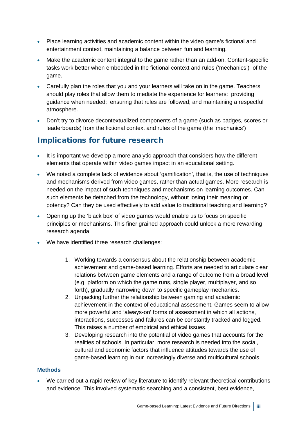- Place learning activities and academic content within the video game's fictional and entertainment context, maintaining a balance between fun and learning.
- Make the academic content integral to the game rather than an add-on. Content-specific tasks work better when embedded in the fictional context and rules ('mechanics') of the game.
- Carefully plan the roles that you and your learners will take on in the game. Teachers should play roles that allow them to mediate the experience for learners: providing guidance when needed; ensuring that rules are followed; and maintaining a respectful atmosphere.
- Don't try to divorce decontextualized components of a game (such as badges, scores or leaderboards) from the fictional context and rules of the game (the 'mechanics')

## Implications for future research

- It is important we develop a more analytic approach that considers how the different elements that operate within video games impact in an educational setting.
- We noted a complete lack of evidence about 'gamification', that is, the use of techniques and mechanisms derived from video games, rather than actual games. More research is needed on the impact of such techniques and mechanisms on learning outcomes. Can such elements be detached from the technology, without losing their meaning or potency? Can they be used effectively to add value to traditional teaching and learning?
- Opening up the 'black box' of video games would enable us to focus on specific principles or mechanisms. This finer grained approach could unlock a more rewarding research agenda.
- We have identified three research challenges:
	- 1. Working towards a consensus about the relationship between academic achievement and game-based learning. Efforts are needed to articulate clear relations between game elements and a range of outcome from a broad level (e.g. platform on which the game runs, single player, multiplayer, and so forth), gradually narrowing down to specific gameplay mechanics.
	- 2. Unpacking further the relationship between gaming and academic achievement in the context of educational assessment. Games seem to allow more powerful and 'always-on' forms of assessment in which all actions, interactions, successes and failures can be constantly tracked and logged. This raises a number of empirical and ethical issues.
	- 3. Developing research into the potential of video games that accounts for the realities of schools. In particular, more research is needed into the social, cultural and economic factors that influence attitudes towards the use of game-based learning in our increasingly diverse and multicultural schools.

#### **Methods**

• We carried out a rapid review of key literature to identify relevant theoretical contributions and evidence. This involved systematic searching and a consistent, best evidence,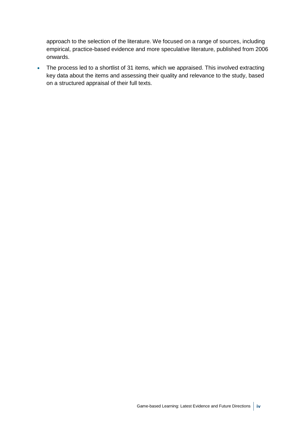approach to the selection of the literature. We focused on a range of sources, including empirical, practice-based evidence and more speculative literature, published from 2006 onwards.

• The process led to a shortlist of 31 items, which we appraised. This involved extracting key data about the items and assessing their quality and relevance to the study, based on a structured appraisal of their full texts.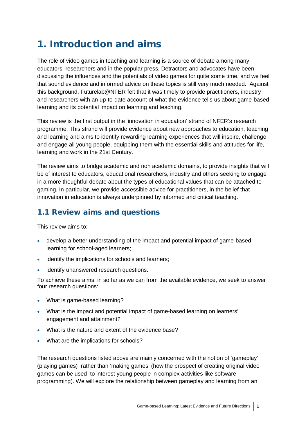## 1. Introduction and aims

The role of video games in teaching and learning is a source of debate among many educators, researchers and in the popular press. Detractors and advocates have been discussing the influences and the potentials of video games for quite some time, and we feel that sound evidence and informed advice on these topics is still very much needed. Against this background, Futurelab@NFER felt that it was timely to provide practitioners, industry and researchers with an up-to-date account of what the evidence tells us about game-based learning and its potential impact on learning and teaching.

This review is the first output in the 'innovation in education' strand of NFER's research programme. This strand will provide evidence about new approaches to education, teaching and learning and aims to identify rewarding learning experiences that will inspire, challenge and engage all young people, equipping them with the essential skills and attitudes for life, learning and work in the 21st Century.

The review aims to bridge academic and non academic domains, to provide insights that will be of interest to educators, educational researchers, industry and others seeking to engage in a more thoughtful debate about the types of educational values that can be attached to gaming. In particular, we provide accessible advice for practitioners, in the belief that innovation in education is always underpinned by informed and critical teaching.

## 1.1 Review aims and questions

This review aims to:

- develop a better understanding of the impact and potential impact of game-based learning for school-aged learners;
- identify the implications for schools and learners;
- identify unanswered research questions.

To achieve these aims, in so far as we can from the available evidence, we seek to answer four research questions:

- What is game-based learning?
- What is the impact and potential impact of game-based learning on learners' engagement and attainment?
- What is the nature and extent of the evidence base?
- What are the implications for schools?

The research questions listed above are mainly concerned with the notion of 'gameplay' (playing games) rather than 'making games' (how the prospect of creating original video games can be used to interest young people in complex activities like software programming). We will explore the relationship between gameplay and learning from an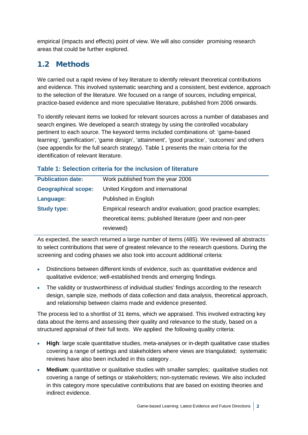empirical (impacts and effects) point of view. We will also consider promising research areas that could be further explored.

### 1.2 Methods

We carried out a rapid review of key literature to identify relevant theoretical contributions and evidence. This involved systematic searching and a consistent, best evidence, approach to the selection of the literature. We focused on a range of sources, including empirical, practice-based evidence and more speculative literature, published from 2006 onwards.

To identify relevant items we looked for relevant sources across a number of databases and search engines. We developed a search strategy by using the controlled vocabulary pertinent to each source. The keyword terms included combinations of: 'game-based learning', 'gamification', 'game design', 'attainment', 'good practice', 'outcomes' and others (see appendix for the full search strategy). Table 1 presents the main criteria for the identification of relevant literature.

#### **Table 1: Selection criteria for the inclusion of literature**

| <b>Publication date:</b>   | Work published from the year 2006                             |
|----------------------------|---------------------------------------------------------------|
| <b>Geographical scope:</b> | United Kingdom and international                              |
| Language:                  | Published in English                                          |
| <b>Study type:</b>         | Empirical research and/or evaluation; good practice examples; |
|                            | theoretical items; published literature (peer and non-peer    |
|                            | reviewed)                                                     |

As expected, the search returned a large number of items (485). We reviewed all abstracts to select contributions that were of greatest relevance to the research questions. During the screening and coding phases we also took into account additional criteria:

- Distinctions between different kinds of evidence, such as: quantitative evidence and qualitative evidence; well-established trends and emerging findings.
- The validity or trustworthiness of individual studies' findings according to the research design, sample size, methods of data collection and data analysis, theoretical approach, and relationship between claims made and evidence presented.

The process led to a shortlist of 31 items, which we appraised. This involved extracting key data about the items and assessing their quality and relevance to the study, based on a structured appraisal of their full texts. We applied the following quality criteria:

- **High**: large scale quantitative studies, meta-analyses or in-depth qualitative case studies covering a range of settings and stakeholders where views are triangulated; systematic reviews have also been included in this category .
- **Medium**: quantitative or qualitative studies with smaller samples; qualitative studies not covering a range of settings or stakeholders; non-systematic reviews. We also included in this category more speculative contributions that are based on existing theories and indirect evidence.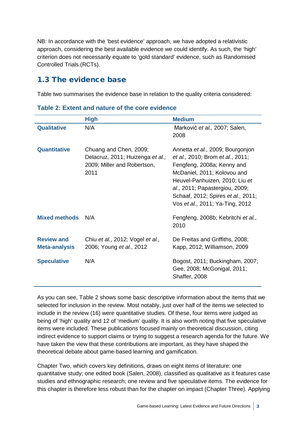NB: In accordance with the 'best evidence' approach, we have adopted a relativistic approach, considering the best available evidence we could identify. As such, the 'high' criterion does not necessarily equate to 'gold standard' evidence, such as Randomised Controlled Trials (RCTs).

#### 1.3 The evidence base

Table two summarises the evidence base in relation to the quality criteria considered:

|                                           | <b>High</b>                                                                                       | <b>Medium</b>                                                                                                                                                                                                                                                                  |
|-------------------------------------------|---------------------------------------------------------------------------------------------------|--------------------------------------------------------------------------------------------------------------------------------------------------------------------------------------------------------------------------------------------------------------------------------|
| <b>Qualitative</b>                        | N/A                                                                                               | Marković et al., 2007; Salen,<br>2008                                                                                                                                                                                                                                          |
| <b>Quantitative</b>                       | Chuang and Chen, 2009;<br>Delacruz, 2011; Huizenga et al.,<br>2009; Miller and Robertson,<br>2011 | Annetta et al., 2009; Bourgonjon<br>et al., 2010; Brom et al., 2011;<br>Fengfeng, 2008a; Kenny and<br>McDaniel, 2011; Kolovou and<br>Heuvel-Panhuizen, 2010; Liu et<br>al., 2011; Papastergiou, 2009;<br>Schaaf, 2012; Spires et al., 2011;<br>Vos et al., 2011; Ya-Ting, 2012 |
| <b>Mixed methods</b>                      | N/A                                                                                               | Fengfeng, 2008b; Kebritchi et al.,<br>2010                                                                                                                                                                                                                                     |
| <b>Review and</b><br><b>Meta-analysis</b> | Chiu et al., 2012; Vogel et al.,<br>2006; Young et al., 2012                                      | De Freitas and Griffiths, 2008;<br>Kapp, 2012; Williamson, 2009                                                                                                                                                                                                                |
| <b>Speculative</b>                        | N/A                                                                                               | Bogost, 2011; Buckingham, 2007;<br>Gee, 2008; McGonigal, 2011;<br>Shaffer, 2008                                                                                                                                                                                                |

|  |  |  |  |  | Table 2: Extent and nature of the core evidence |
|--|--|--|--|--|-------------------------------------------------|
|--|--|--|--|--|-------------------------------------------------|

As you can see, Table 2 shows some basic descriptive information about the items that we selected for inclusion in the review. Most notably, just over half of the items we selected to include in the review (16) were quantitative studies. Of these, four items were judged as being of 'high' quality and 12 of 'medium' quality. It is also worth noting that five speculative items were included. These publications focused mainly on theoretical discussion, citing indirect evidence to support claims or trying to suggest a research agenda for the future. We have taken the view that these contributions are important, as they have shaped the theoretical debate about game-based learning and gamification.

Chapter Two, which covers key definitions, draws on eight items of literature: one quantitative study; one edited book (Salen, 2008), classified as qualitative as it features case studies and ethnographic research; one review and five speculative items. The evidence for this chapter is therefore less robust than for the chapter on impact (Chapter Three). Applying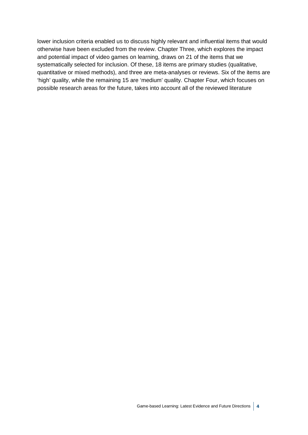lower inclusion criteria enabled us to discuss highly relevant and influential items that would otherwise have been excluded from the review. Chapter Three, which explores the impact and potential impact of video games on learning, draws on 21 of the items that we systematically selected for inclusion. Of these, 18 items are primary studies (qualitative, quantitative or mixed methods), and three are meta-analyses or reviews. Six of the items are 'high' quality, while the remaining 15 are 'medium' quality. Chapter Four, which focuses on possible research areas for the future, takes into account all of the reviewed literature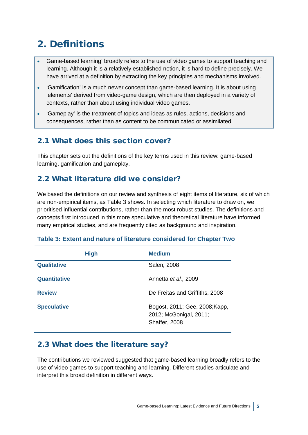## 2. Definitions

- Game-based learning' broadly refers to the use of video games to support teaching and learning. Although it is a relatively established notion, it is hard to define precisely. We have arrived at a definition by extracting the key principles and mechanisms involved.
- 'Gamification' is a much newer concept than game-based learning. It is about using 'elements' derived from video-game design, which are then deployed in a variety of contexts, rather than about using individual video games.
- 'Gameplay' is the treatment of topics and ideas as rules, actions, decisions and consequences, rather than as content to be communicated or assimilated.

### 2.1 What does this section cover?

This chapter sets out the definitions of the key terms used in this review: game-based learning, gamification and gameplay.

### 2.2 What literature did we consider?

We based the definitions on our review and synthesis of eight items of literature, six of which are non-empirical items, as Table 3 shows. In selecting which literature to draw on, we prioritised influential contributions, rather than the most robust studies. The definitions and concepts first introduced in this more speculative and theoretical literature have informed many empirical studies, and are frequently cited as background and inspiration.

#### **Table 3: Extent and nature of literature considered for Chapter Two**

| <b>High</b>        | <b>Medium</b>                                                             |
|--------------------|---------------------------------------------------------------------------|
| <b>Qualitative</b> | Salen, 2008                                                               |
| Quantitative       | Annetta et al., 2009                                                      |
| <b>Review</b>      | De Freitas and Griffiths, 2008                                            |
| <b>Speculative</b> | Bogost, 2011; Gee, 2008; Kapp,<br>2012; McGonigal, 2011;<br>Shaffer, 2008 |

#### 2.3 What does the literature say?

The contributions we reviewed suggested that game-based learning broadly refers to the use of video games to support teaching and learning. Different studies articulate and interpret this broad definition in different ways.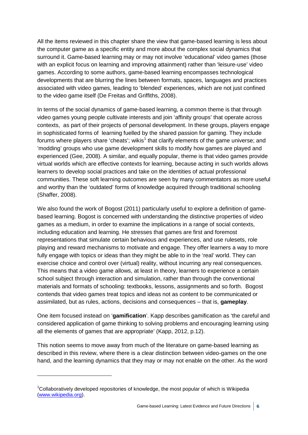All the items reviewed in this chapter share the view that game-based learning is less about the computer game as a specific entity and more about the complex social dynamics that surround it. Game-based learning may or may not involve 'educational' video games (those with an explicit focus on learning and improving attainment) rather than 'leisure-use' video games. According to some authors, game-based learning encompasses technological developments that are blurring the lines between formats, spaces, languages and practices associated with video games, leading to 'blended' experiences, which are not just confined to the video game itself (De Freitas and Griffiths, 2008).

In terms of the social dynamics of game-based learning, a common theme is that through video games young people cultivate interests and join 'affinity groups' that operate across contexts, as part of their projects of personal development. In these groups, players engage in sophisticated forms of learning fuelled by the shared passion for gaming. They include forums where players share 'cheats'; wikis<sup>[1](#page-13-0)</sup> that clarify elements of the game universe; and 'modding' groups who use game development skills to modify how games are played and experienced (Gee, 2008). A similar, and equally popular, theme is that video games provide virtual worlds which are effective contexts for learning, because acting in such worlds allows learners to develop social practices and take on the identities of actual professional communities. These soft learning outcomes are seen by many commentators as more useful and worthy than the 'outdated' forms of knowledge acquired through traditional schooling (Shaffer, 2008).

We also found the work of Bogost (2011) particularly useful to explore a definition of gamebased learning. Bogost is concerned with understanding the distinctive properties of video games as a medium, in order to examine the implications in a range of social contexts, including education and learning. He stresses that games are first and foremost representations that simulate certain behavious and experiences, and use rulesets, role playing and reward mechanisms to motivate and engage. They offer learners a way to more fully engage with topics or ideas than they might be able to in the 'real' world. They can exercise choice and control over (virtual) reality, without incurring any real consequences. This means that a video game allows, at least in theory, learners to experience a certain school subject through interaction and simulation, rather than through the conventional materials and formats of schooling: textbooks, lessons, assignments and so forth. Bogost contends that video games treat topics and ideas not as content to be communicated or assimilated, but as rules, actions, decisions and consequences – that is, **gameplay**.

One item focused instead on '**gamification**'. Kapp describes gamification as 'the careful and considered application of game thinking to solving problems and encouraging learning using all the elements of games that are appropriate' (Kapp, 2012, p.12).

This notion seems to move away from much of the literature on game-based learning as described in this review, where there is a clear distinction between video-games on the one hand, and the learning dynamics that they may or may not enable on the other. As the word

-

<span id="page-13-0"></span><sup>&</sup>lt;sup>1</sup>Collaboratively developed repositories of knowledge, the most popular of which is Wikipedia [\(www.wikipedia.org\)](http://www.wikipedia.org/).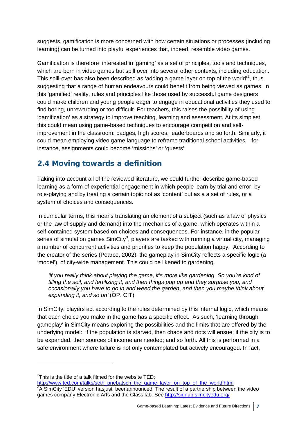suggests, gamification is more concerned with how certain situations or processes (including learning) can be turned into playful experiences that, indeed, resemble video games.

Gamification is therefore interested in 'gaming' as a set of principles, tools and techniques, which are born in video games but spill over into several other contexts, including education. This spill-over has also been described as 'adding a game layer on top of the world'<sup>[2](#page-14-0)</sup>, thus suggesting that a range of human endeavours could benefit from being viewed as games. In this 'gamified' reality, rules and principles like those used by successful game designers could make children and young people eager to engage in educational activities they used to find boring, unrewarding or too difficult. For teachers, this raises the possibility of using 'gamification' as a strategy to improve teaching, learning and assessment. At its simplest, this could mean using game-based techniques to encourage competition and selfimprovement in the classroom: badges, high scores, leaderboards and so forth. Similarly, it could mean employing video game language to reframe traditional school activities – for instance, assignments could become 'missions' or 'quests'.

## 2.4 Moving towards a definition

Taking into account all of the reviewed literature, we could further describe game-based learning as a form of experiential engagement in which people learn by trial and error, by role-playing and by treating a certain topic not as 'content' but as a a set of rules, or a system of choices and consequences.

In curricular terms, this means translating an element of a subject (such as a law of physics or the law of supply and demand) into the mechanics of a game, which operates within a self-contained system based on choices and consequences. For instance, in the popular series of simulation games SimCity<sup>[3](#page-14-1)</sup>, players are tasked with running a virtual city, managing a number of concurrent activities and priorities to keep the population happy. According to the creator of the series (Pearce, 2002), the gameplay in SimCity reflects a specific logic (a 'model') of city-wide management. This could be likened to gardening.

*'if you really think about playing the game, it's more like gardening. So you're kind of tilling the soil, and fertilizing it, and then things pop up and they surprise you, and occasionally you have to go in and weed the garden, and then you maybe think about expanding it, and so on'* (OP. CIT).

In SimCity, players act according to the rules determined by this internal logic, which means that each choice you make in the game has a specific effect. As such, 'learning through gameplay' in SimCity means exploring the possibilities and the limits that are offered by the underlying model: if the population is starved, then chaos and riots will ensue; if the city is to be expanded, then sources of income are needed; and so forth. All this is performed in a safe environment where failure is not only contemplated but actively encouraged. In fact,

-

<span id="page-14-0"></span> $2$ This is the title of a talk filmed for the website TED:

<span id="page-14-1"></span>[http://www.ted.com/talks/seth\\_priebatsch\\_the\\_game\\_layer\\_on\\_top\\_of\\_the\\_world.html](http://www.ted.com/talks/seth_priebatsch_the_game_layer_on_top_of_the_world.html)  $3A$  SimCity 'EDU' version hasjust beenannounced. The result of a partnership between the video games company Electronic Arts and the Glass lab. See<http://signup.simcityedu.org/>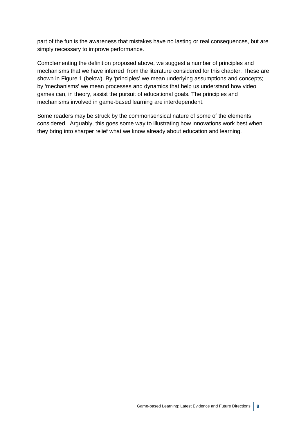part of the fun is the awareness that mistakes have no lasting or real consequences, but are simply necessary to improve performance.

Complementing the definition proposed above, we suggest a number of principles and mechanisms that we have inferred from the literature considered for this chapter. These are shown in Figure 1 (below). By 'principles' we mean underlying assumptions and concepts; by 'mechanisms' we mean processes and dynamics that help us understand how video games can, in theory, assist the pursuit of educational goals. The principles and mechanisms involved in game-based learning are interdependent.

Some readers may be struck by the commonsensical nature of some of the elements considered. Arguably, this goes some way to illustrating how innovations work best when they bring into sharper relief what we know already about education and learning.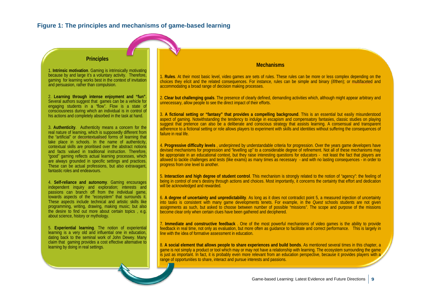#### **Figure 1: The principles and mechanisms of game-based learning**



are always grounded in specific settings and practices. These can be actual professions, but also extravagant, fantastic roles and endeavours.

4. **Self-reliance and autonomy**. Gaming encourages independent inquiry and exploration; interests and passions can branch off from the individual game, towards aspects of the "ecosystem" that surrounds it. These aspects include technical and artistic skills like programming, writing, drawing, making music; but also the desire to find out more about certain topics , e.g. about science, history or mythology.

5. **Experiential learning**. The notion of experiential learning is a very old and influential one in education, dating back to the seminal work of John Dewey. Many claim that gaming provides a cost effective alternative to learning by doing in real settings.

#### **Mechanisms**

1. **Rules**. At their most basic level, video games are sets of rules. These rules can be more or less complex depending on the choices they elicit and the related consequences. For instance, rules can be simple and binary (if/then); or multifaceted and accommodating a broad range of decision making processes.

2. **Clear but challenging goals**. The presence of clearly defined, demanding activities which, although might appear arbitrary and unnecessary, allow people to see the direct impact of their efforts.

3. **A fictional setting or "fantasy" that provides a compelling background**. This is an essential but easily misunderstood aspect of gaming. Notwithstanding the tendency to indulge in escapism and compensatory fantasies, classic studies on playing suggest that pretence can also be a deliberate and conscious strategy that assists learning. A consensual and transparent adherence to a fictional setting or role allows players to experiment with skills and identities without suffering the consequences of failure in real life.

4. **Progressive difficulty levels** , underpinned by understandable criteria for progression. Over the years game developers have devised mechanisms for progression and "levelling up" to a considerable degree of refinement. Not all of these mechanisms may be appropriate in an educational context, but they raise interesting questions for educators - not least the fact that players are allowed to tackle challenges and tests (like exams) as many times as necessary - and with no lasting consequences - in order to progress from one level to another.

5. **Interaction and high degree of student control**. This mechanism is strongly related to the notion of "agency": the feeling of being in control of one's destiny through actions and choices. Most importantly, it concerns the certainty that effort and dedication will be acknowledged and rewarded.

6. **A degree of uncertainty and unpredictability**. As long as it does not contradict point 5, a measured injection of uncertainty into tasks is consistent with many game developments tenets. For example, in the *Quest* schools students are not given assignments as such, but asked to choose between number of possible "missions". The scope and purpose of the missions become clear only when certain clues have been gathered and deciphered.

7. **Immediate and constructive feedback** . One of the most powerful mechanisms of video games is the ability to provide feedback in real time, not only as evaluation, but more often as guidance to facilitate and correct performance. This is largely in line with the idea of formative assessment in education.

8. **A social element that allows people to share experiences and build bonds**. As mentioned several times in this chapter, a game is not simply a product or tool which may or may not have a relationship with learning. The ecosystem surrounding the game is just as important. In fact, it is probably even more relevant from an education perspective, because it provides players with a range of opportunities to share, interact and pursue interests and passions.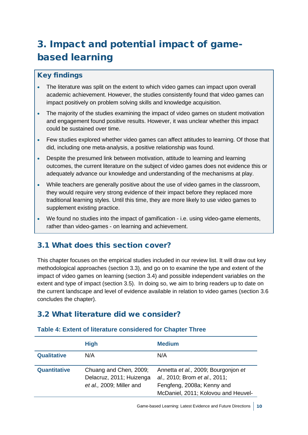# 3. Impact and potential impact of gamebased learning

#### Key findings

- The literature was split on the extent to which video games can impact upon overall academic achievement. However, the studies consistently found that video games can impact positively on problem solving skills and knowledge acquisition.
- The majority of the studies examining the impact of video games on student motivation and engagement found positive results. However, it was unclear whether this impact could be sustained over time.
- Few studies explored whether video games can affect attitudes to learning. Of those that did, including one meta-analysis, a positive relationship was found.
- Despite the presumed link between motivation, attitude to learning and learning outcomes, the current literature on the subject of video games does not evidence this or adequately advance our knowledge and understanding of the mechanisms at play.
- While teachers are generally positive about the use of video games in the classroom, they would require very strong evidence of their impact before they replaced more traditional learning styles. Until this time, they are more likely to use video games to supplement existing practice.
- We found no studies into the impact of gamification i.e. using video-game elements, rather than video-games - on learning and achievement.

## 3.1 What does this section cover?

This chapter focuses on the empirical studies included in our review list. It will draw out key methodological approaches (section 3.3), and go on to examine the type and extent of the impact of video games on learning (section 3.4) and possible independent variables on the extent and type of impact (section 3.5). In doing so, we aim to bring readers up to date on the current landscape and level of evidence available in relation to video games (section 3.6 concludes the chapter).

## 3.2 What literature did we consider?

|                     | <b>High</b>                                                                    | <b>Medium</b>                                                                                                                             |
|---------------------|--------------------------------------------------------------------------------|-------------------------------------------------------------------------------------------------------------------------------------------|
| <b>Qualitative</b>  | N/A                                                                            | N/A                                                                                                                                       |
| <b>Quantitative</b> | Chuang and Chen, 2009;<br>Delacruz, 2011; Huizenga<br>et al., 2009; Miller and | Annetta et al., 2009; Bourgonjon et<br>al., 2010; Brom et al., 2011;<br>Fengfeng, 2008a; Kenny and<br>McDaniel, 2011; Kolovou and Heuvel- |

#### **Table 4: Extent of literature considered for Chapter Three**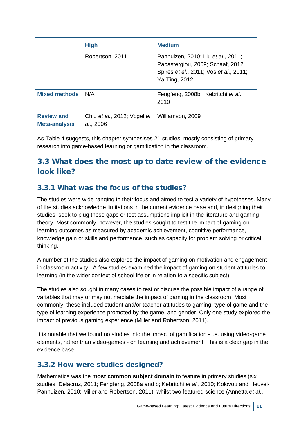|                                           | <b>High</b>                              | <b>Medium</b>                                                                                                                      |
|-------------------------------------------|------------------------------------------|------------------------------------------------------------------------------------------------------------------------------------|
|                                           | Robertson, 2011                          | Panhuizen, 2010; Liu et al., 2011;<br>Papastergiou, 2009; Schaaf, 2012;<br>Spires et al., 2011; Vos et al., 2011;<br>Ya-Ting, 2012 |
| <b>Mixed methods</b>                      | N/A                                      | Fengfeng, 2008b; Kebritchi et al.,<br>2010                                                                                         |
| <b>Review and</b><br><b>Meta-analysis</b> | Chiu et al., 2012; Vogel et<br>al., 2006 | Williamson, 2009                                                                                                                   |

As Table 4 suggests, this chapter synthesises 21 studies, mostly consisting of primary research into game-based learning or gamification in the classroom.

## 3.3 What does the most up to date review of the evidence look like?

#### 3.3.1 What was the focus of the studies?

The studies were wide ranging in their focus and aimed to test a variety of hypotheses. Many of the studies acknowledge limitations in the current evidence base and, in designing their studies, seek to plug these gaps or test assumptions implicit in the literature and gaming theory. Most commonly, however, the studies sought to test the impact of gaming on learning outcomes as measured by academic achievement, cognitive performance, knowledge gain or skills and performance, such as capacity for problem solving or critical thinking.

A number of the studies also explored the impact of gaming on motivation and engagement in classroom activity . A few studies examined the impact of gaming on student attitudes to learning (in the wider context of school life or in relation to a specific subject).

The studies also sought in many cases to test or discuss the possible impact of a range of variables that may or may not mediate the impact of gaming in the classroom. Most commonly, these included student and/or teacher attitudes to gaming, type of game and the type of learning experience promoted by the game, and gender. Only one study explored the impact of previous gaming experience (Miller and Robertson, 2011).

It is notable that we found no studies into the impact of gamification - i.e. using video-game elements, rather than video-games - on learning and achievement. This is a clear gap in the evidence base.

#### 3.3.2 How were studies designed?

Mathematics was the **most common subject domain** to feature in primary studies (six studies: Delacruz, 2011; Fengfeng, 2008a and b; Kebritchi *et al.*, 2010; Kolovou and Heuvel-Panhuizen*,* 2010; Miller and Robertson, 2011), whilst two featured science (Annetta *et al*.,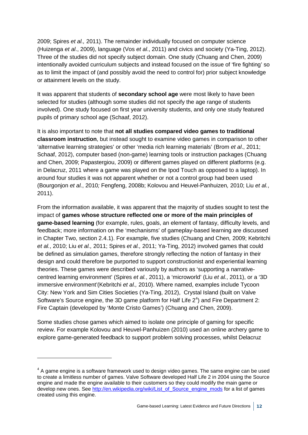2009; Spires *et al.,* 2011). The remainder individually focused on computer science (Huizenga *et al*., 2009), language (Vos *et al*., 2011) and civics and society (Ya-Ting, 2012). Three of the studies did not specify subject domain. One study (Chuang and Chen, 2009) intentionally avoided curriculum subjects and instead focused on the issue of 'fire fighting' so as to limit the impact of (and possibly avoid the need to control for) prior subject knowledge or attainment levels on the study.

It was apparent that students of **secondary school age** were most likely to have been selected for studies (although some studies did not specify the age range of students involved). One study focused on first year university students, and only one study featured pupils of primary school age (Schaaf, 2012).

It is also important to note that **not all studies compared video games to traditional classroom instruction**, but instead sought to examine video games in comparison to other 'alternative learning strategies' or other 'media rich learning materials' (Brom *et al*., 2011; Schaaf, 2012), computer based (non-game) learning tools or instruction packages (Chuang and Chen, 2009; Papastergiou, 2009) or different games played on different platforms (e.g. in Delacruz, 2011 where a game was played on the Ipod Touch as opposed to a laptop). In around four studies it was not apparent whether or not a control group had been used (Bourgonjon *et al.*, 2010*;* Fengfeng, 2008b; Kolovou and Heuvel-Panhuizen*,* 2010; Liu *et al.*, 2011).

From the information available, it was apparent that the majority of studies sought to test the impact of **games whose structure reflected one or more of the main principles of game-based learning** (for example, rules, goals, an element of fantasy, difficulty levels, and feedback; more information on the 'mechanisms' of gameplay-based learning are discussed in Chapter Two, section 2.4.1). For example, five studies (Chuang and Chen*,* 2009; Kebritchi *et al.*, 2010; Liu *et al.,* 2011; Spires *et al.,* 2011; Ya-Ting, 2012) involved games that could be defined as simulation games, therefore strongly reflecting the notion of fantasy in their design and could therefore be purported to support constructionist and experiential learning theories. These games were described variously by authors as 'supporting a narrativecentred learning environment' (Spires *et al.*, 2011), a 'microworld' (Liu *et al.*, 2011), or a '3D immersive environment'(Kebritchi *et al.,* 2010). Where named, examples include Tycoon City: New York and Sim Cities Societies (Ya-Ting, 2012), Crystal Island (built on Valve Software's Source engine, the 3D game platform for Half Life  $2<sup>4</sup>$  $2<sup>4</sup>$  $2<sup>4</sup>$ ) and Fire Department 2: Fire Captain (developed by 'Monte Cristo Games') (Chuang and Chen, 2009).

Some studies chose games which aimed to isolate one principle of gaming for specific review. For example Kolovou and Heuvel-Panhuizen (2010) used an online archery game to explore game-generated feedback to support problem solving processes, whilst Delacruz

-

<span id="page-19-0"></span> $4$  A game engine is a software framework used to design video games. The same engine can be used to create a limitless number of games. Valve Software developed Half Life 2 in 2004 using the Source engine and made the engine available to their customers so they could modify the main game or develop new ones. See [http://en.wikipedia.org/wiki/List\\_of\\_Source\\_engine\\_mods](http://en.wikipedia.org/wiki/List_of_Source_engine_mods) for a list of games created using this engine.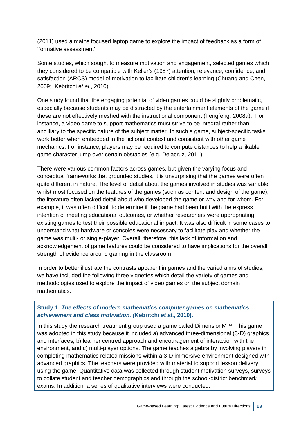(2011) used a maths focused laptop game to explore the impact of feedback as a form of 'formative assessment'.

Some studies, which sought to measure motivation and engagement, selected games which they considered to be compatible with Keller's (1987) attention, relevance, confidence, and satisfaction (ARCS) model of motivation to facilitate children's learning (Chuang and Chen, 2009; Kebritchi *et al*., 2010).

One study found that the engaging potential of video games could be slightly problematic, especially because students may be distracted by the entertainment elements of the game if these are not effectively meshed with the instructional component (Fengfeng, 2008a). For instance, a video game to support mathematics must strive to be integral rather than ancilliary to the specific nature of the subject matter. In such a game, subject-specific tasks work better when embedded in the fictional context and consistent with other game mechanics. For instance, players may be required to compute distances to help a likable game character jump over certain obstacles (e.g. Delacruz, 2011).

There were various common factors across games, but given the varying focus and conceptual frameworks that grounded studies, it is unsurprising that the games were often quite different in nature. The level of detail about the games involved in studies was variable; whilst most focused on the features of the games (such as content and design of the game). the literature often lacked detail about who developed the game or why and for whom. For example, it was often difficult to determine if the game had been built with the express intention of meeting educational outcomes, or whether researchers were appropriating existing games to test their possible educational impact. It was also difficult in some cases to understand what hardware or consoles were necessary to facilitate play and whether the game was multi- or single-player. Overall, therefore, this lack of information and acknowledgement of game features could be considered to have implications for the overall strength of evidence around gaming in the classroom.

In order to better illustrate the contrasts apparent in games and the varied aims of studies, we have included the following three vignettes which detail the variety of games and methodologies used to explore the impact of video games on the subject domain mathematics.

#### **Study 1:** *The effects of modern mathematics computer games on mathematics achievement and class motivation, (***Kebritchi** *et al***., 2010).**

In this study the research treatment group used a game called DimensionM™. This game was adopted in this study because it included a) advanced three-dimensional (3-D) graphics and interfaces, b) learner centred approach and encouragement of interaction with the environment, and c) multi-player options. The game teaches algebra by involving players in completing mathematics related missions within a 3-D immersive environment designed with advanced graphics. The teachers were provided with material to support lesson delivery using the game. Quantitative data was collected through student motivation surveys, surveys to collate student and teacher demographics and through the school-district benchmark exams. In addition, a series of qualitative interviews were conducted.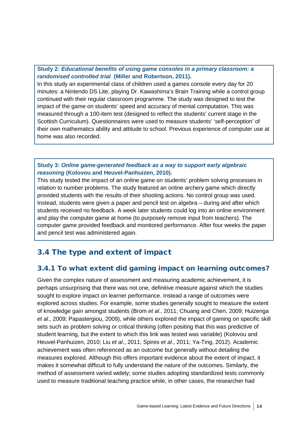#### **Study 2:** *Educational benefits of using game consoles in a primary classroom: a randomised controlled trial* **(Miller and Robertson, 2011).**

In this study an experimental class of children used a games console every day for 20 minutes: a Nintendo DS Lite, playing Dr. Kawashima's Brain Training while a control group continued with their regular classroom programme. The study was designed to test the impact of the game on students' speed and accuracy of mental computation. This was measured through a 100-item test (designed to reflect the students' current stage in the Scottish Curriculum). Questionnaires were used to measure students' 'self-perception' of their own mathematics ability and attitude to school. Previous experience of computer use at home was also recorded.

#### **Study 3:** *Online game-generated feedback as a way to support early algebraic reasoning* **(Kolovou and Heuvel-Panhuizen, 2010).**

This study tested the impact of an online game on students' problem solving processes in relation to number problems. The study featured an online archery game which directly provided students with the results of their shooting actions. No control group was used. Instead, students were given a paper and pencil test on algebra – during and after which students received no feedback. A week later students could log into an online environment and play the computer game at home (to purposely remove input from teachers). The computer game provided feedback and monitored performance. After four weeks the paper and pencil test was administered again.

## 3.4 The type and extent of impact

#### 3.4.1 To what extent did gaming impact on learning outcomes?

Given the complex nature of assessment and measuring academic achievement, it is perhaps unsurprising that there was not one, definitive measure against which the studies sought to explore impact on learner performance. Instead a range of outcomes were explored across studies. For example, some studies generally sought to measure the extent of knowledge gain amongst students (Brom *et al*., 2011; Chuang and Chen, 2009; Huizenga *et al*., 2009; Papastergiou, 2009), while others explored the impact of gaming on specific skill sets such as problem solving or critical thinking (often positing that this was predictive of student learning, but the extent to which this link was tested was variable) (Kolovou and Heuvel-Panhuizen, 2010; Liu *et al*., 2011; Spires *et al*., 2011; Ya-Ting, 2012). Academic achievement was often referenced as an outcome but generally without detailing the measures explored. Although this offers important evidence about the extent of impact, it makes it somewhat difficult to fully understand the nature of the outcomes. Similarly, the method of assessment varied widely; some studies adopting standardized tests commonly used to measure traditional teaching practice while, in other cases, the researcher had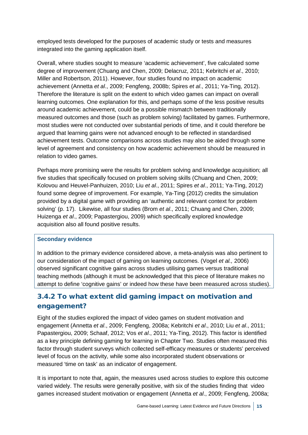employed tests developed for the purposes of academic study or tests and measures integrated into the gaming application itself.

Overall, where studies sought to measure 'academic achievement', five calculated some degree of improvement (Chuang and Chen, 2009; Delacruz, 2011; Kebritchi *et al*., 2010; Miller and Robertson, 2011). However, four studies found no impact on academic achievement (Annetta *et al*., 2009; Fengfeng, 2008b; Spires *et al*., 2011; Ya-Ting, 2012). Therefore the literature is split on the extent to which video games can impact on overall learning outcomes. One explanation for this, and perhaps some of the less positive results around academic achievement, could be a possible mismatch between traditionally measured outcomes and those (such as problem solving) facilitated by games. Furthermore, most studies were not conducted over substantial periods of time, and it could therefore be argued that learning gains were not advanced enough to be reflected in standardised achievement tests. Outcome comparisons across studies may also be aided through some level of agreement and consistency on how academic achievement should be measured in relation to video games.

Perhaps more promising were the results for problem solving and knowledge acquisition; all five studies that specifically focused on problem solving skills (Chuang and Chen, 2009; Kolovou and Heuvel-Panhuizen, 2010; Liu *et al*., 2011; Spires *et al*., 2011; Ya-Ting, 2012) found some degree of improvement. For example, Ya-Ting (2012) credits the simulation provided by a digital game with providing an 'authentic and relevant context for problem solving' (p. 17). Likewise, all four studies (Brom *et al*., 2011; Chuang and Chen, 2009; Huizenga *et al*., 2009; Papastergiou, 2009) which specifically explored knowledge acquisition also all found positive results.

#### **Secondary evidence**

In addition to the primary evidence considered above, a meta-analysis was also pertinent to our consideration of the impact of gaming on learning outcomes. (Vogel *et al.,* 2006) observed significant cognitive gains across studies utilising games versus traditional teaching methods (although it must be acknowledged that this piece of literature makes no attempt to define 'cognitive gains' or indeed how these have been measured across studies).

#### 3.4.2 To what extent did gaming impact on motivation and engagement?

Eight of the studies explored the impact of video games on student motivation and engagement (Annetta *et al*., 2009; Fengfeng, 2008a; Kebritchi *et al*., 2010; Liu *et al*., 2011; Papastergiou, 2009; Schaaf, 2012; Vos *et al*., 2011; Ya-Ting, 2012). This factor is identified as a key principle defining gaming for learning in Chapter Two. Studies often measured this factor through student surveys which collected self-efficacy measures or students' perceived level of focus on the activity, while some also incorporated student observations or measured 'time on task' as an indicator of engagement.

It is important to note that, again, the measures used across studies to explore this outcome varied widely. The results were generally positive, with six of the studies finding that video games increased student motivation or engagement (Annetta *et al*., 2009; Fengfeng, 2008a;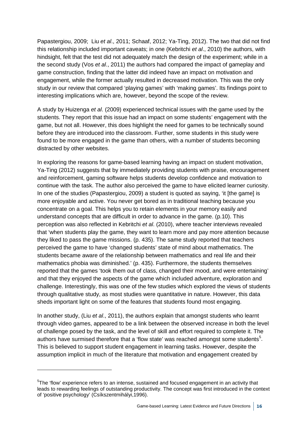Papastergiou, 2009; Liu *et al*., 2011; Schaaf, 2012; Ya-Ting, 2012). The two that did not find this relationship included important caveats; in one (Kebritchi *et al*., 2010) the authors, with hindsight, felt that the test did not adequately match the design of the experiment; while in a the second study (Vos *et al*., 2011) the authors had compared the impact of gameplay and game construction, finding that the latter did indeed have an impact on motivation and engagement, while the former actually resulted in decreased motivation. This was the only study in our review that compared 'playing games' with 'making games'. Its findings point to interesting implications which are, however, beyond the scope of the review.

A study by Huizenga *et al*. (2009) experienced technical issues with the game used by the students. They report that this issue had an impact on some students' engagement with the game, but not all. However, this does highlight the need for games to be technically sound before they are introduced into the classroom. Further, some students in this study were found to be more engaged in the game than others, with a number of students becoming distracted by other websites.

In exploring the reasons for game-based learning having an impact on student motivation, Ya-Ting (2012) suggests that by immediately providing students with praise, encouragement and reinforcement, gaming software helps students develop confidence and motivation to continue with the task. The author also perceived the game to have elicited learner curiosity. In one of the studies (Papastergiou, 2009) a student is quoted as saying, 'it [the game] is more enjoyable and active. You never get bored as in traditional teaching because you concentrate on a goal. This helps you to retain elements in your memory easily and understand concepts that are difficult in order to advance in the game. (p.10). This perception was also reflected in Kebritchi *et al*. (2010), where teacher interviews revealed that 'when students play the game, they want to learn more and pay more attention because they liked to pass the game missions. (p. 435). The same study reported that teachers perceived the game to have 'changed students' state of mind about mathematics. The students became aware of the relationship between mathematics and real life and their mathematics phobia was diminished.' (p. 435). Furthermore, the students themselves reported that the games 'took them out of class, changed their mood, and were entertaining' and that they enjoyed the aspects of the game which included adventure, exploration and challenge. Interestingly, this was one of the few studies which explored the views of students through qualitative study, as most studies were quantitative in nature. However, this data sheds important light on some of the features that students found most engaging.

In another study, (Liu *et al*., 2011), the authors explain that amongst students who learnt through video games, appeared to be a link between the observed increase in both the level of challenge posed by the task, and the level of skill and effort required to complete it. The authors have surmised therefore that a 'flow state' was reached amongst some students<sup>[5](#page-23-0)</sup>. This is believed to support student engagement in learning tasks. However, despite the assumption implicit in much of the literature that motivation and engagement created by

-

<span id="page-23-0"></span><sup>&</sup>lt;sup>5</sup>The 'flow' experience refers to an intense, sustained and focused engagement in an activity that leads to rewarding feelings of outstanding productivity. The concept was first introduced in the context of 'positive psychology' (Csíkszentmihályi,1996).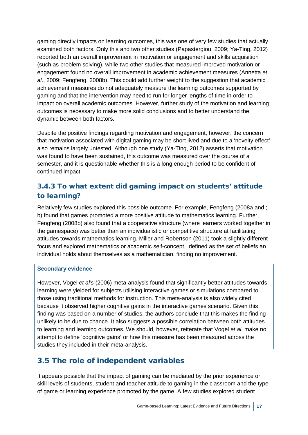gaming directly impacts on learning outcomes, this was one of very few studies that actually examined both factors. Only this and two other studies (Papastergiou, 2009; Ya-Ting, 2012) reported both an overall improvement in motivation or engagement and skills acquisition (such as problem solving), while two other studies that measured improved motivation or engagement found no overall improvement in academic achievement measures (Annetta *et al*., 2009; Fengfeng, 2008b). This could add further weight to the suggestion that academic achievement measures do not adequately measure the learning outcomes supported by gaming and that the intervention may need to run for longer lengths of time in order to impact on overall academic outcomes. However, further study of the motivation and learning outcomes is necessary to make more solid conclusions and to better understand the dynamic between both factors.

Despite the positive findings regarding motivation and engagement, however, the concern that motivation associated with digital gaming may be short lived and due to a 'novelty effect' also remains largely untested. Although one study (Ya-Ting, 2012) asserts that motivation was found to have been sustained, this outcome was measured over the course of a semester, and it is questionable whether this is a long enough period to be confident of continued impact.

### 3.4.3 To what extent did gaming impact on students' attitude to learning?

Relatively few studies explored this possible outcome. For example, Fengfeng (2008a and ; b) found that games promoted a more positive attitude to mathematics learning. Further, Fengfeng (2008b) also found that a cooperative structure (where learners worked together in the gamespace) was better than an individualistic or competitive structure at facilitating attitudes towards mathematics learning. Miller and Robertson (2011) took a slightly different focus and explored mathematics or academic self-concept, defined as the set of beliefs an individual holds about themselves as a mathematician, finding no improvement.

#### **Secondary evidence**

However, Vogel *et al's* (2006) meta-analysis found that significantly better attitudes towards learning were yielded for subjects utilising interactive games or simulations compared to those using traditional methods for instruction. This meta-analysis is also widely cited because it observed higher cognitive gains in the interactive games scenario. Given this finding was based on a number of studies, the authors conclude that this makes the finding unlikely to be due to chance. It also suggests a possible correlation between both attitudes to learning and learning outcomes. We should, however, reiterate that Vogel *et al.* make no attempt to define 'cognitive gains' or how this measure has been measured across the studies they included in their meta-analysis.

## 3.5 The role of independent variables

It appears possible that the impact of gaming can be mediated by the prior experience or skill levels of students, student and teacher attitude to gaming in the classroom and the type of game or learning experience promoted by the game. A few studies explored student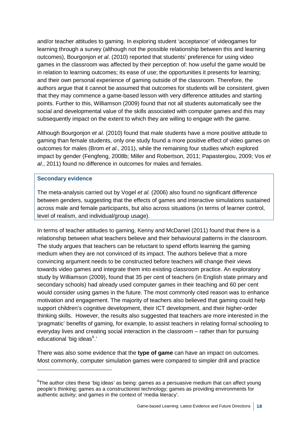and/or teacher attitudes to gaming. In exploring student 'acceptance' of videogames for learning through a survey (although not the possible relationship between this and learning outcomes), Bourgonjon *et al*. (2010) reported that students' preference for using video games in the classroom was affected by their perception of: how useful the game would be in relation to learning outcomes; its ease of use; the opportunities it presents for learning; and their own personal experience of gaming outside of the classroom. Therefore, the authors argue that it cannot be assumed that outcomes for students will be consistent, given that they may commence a game-based lesson with very difference attitudes and starting points. Further to this, Williamson (2009) found that not all students automatically see the social and developmental value of the skills associated with computer games and this may subsequently impact on the extent to which they are willing to engage with the game.

Although Bourgonjon *et al*. (2010) found that male students have a more positive attitude to gaming than female students, only one study found a more positive effect of video games on outcomes for males (Brom *et al*., 2011), while the remaining four studies which explored impact by gender (Fengfeng, 2008b; Miller and Robertson, 2011; Papastergiou, 2009; Vos *et al*., 2011) found no difference in outcomes for males and females.

#### **Secondary evidence**

-

The meta-analysis carried out by Vogel *et al.* (2006) also found no significant difference between genders, suggesting that the effects of games and interactive simulations sustained across male and female participants, but also across situations (in terms of learner control, level of realism, and individual/group usage).

In terms of teacher attitudes to gaming, Kenny and McDaniel (2011) found that there is a relationship between what teachers believe and their behavioural patterns in the classroom. The study argues that teachers can be reluctant to spend efforts learning the gaming medium when they are not convinced of its impact. The authors believe that a more convincing argument needs to be constructed before teachers will change their views towards video games and integrate them into existing classroom practice. An exploratory study by Williamson (2009), found that 35 per cent of teachers (in English state primary and secondary schools) had already used computer games in their teaching and 60 per cent would consider using games in the future. The most commonly cited reason was to enhance motivation and engagement. The majority of teachers also believed that gaming could help support children's cognitive development, their ICT development, and their higher-order thinking skills. However, the results also suggested that teachers are more interested in the 'pragmatic' benefits of gaming, for example, to assist teachers in relating formal schooling to everyday lives and creating social interaction in the classroom – rather than for pursuing educational 'big ideas<sup>[6](#page-25-0)</sup>.'

There was also some evidence that the **type of game** can have an impact on outcomes. Most commonly, computer simulation games were compared to simpler drill and practice

<span id="page-25-0"></span> $\mathrm{^6}$ The author cites these 'big ideas' as being: games as a persuasive medium that can affect young people's thinking; games as a constructionist technology; games as providing environments for authentic activity; and games in the context of 'media literacy'.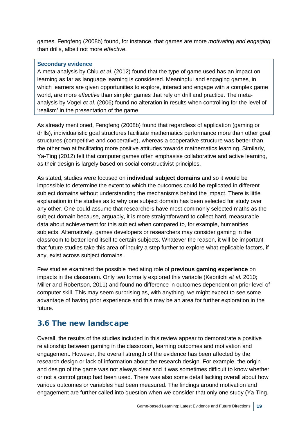games. Fengfeng (2008b) found, for instance, that games are more *motivating and engaging* than drills, albeit not more *effective*.

#### **Secondary evidence**

A meta-analysis by Chiu *et al.* (2012) found that the type of game used has an impact on learning as far as language learning is considered. Meaningful and engaging games, in which learners are given opportunities to explore, interact and engage with a complex game world, are more *effective* than simpler games that rely on drill and practice. The metaanalysis by Vogel *et al.* (2006) found no alteration in results when controlling for the level of 'realism' in the presentation of the game.

As already mentioned, Fengfeng (2008b) found that regardless of application (gaming or drills), individualistic goal structures facilitate mathematics performance more than other goal structures (competitive and cooperative), whereas a cooperative structure was better than the other two at facilitating more positive attitudes towards mathematics learning. Similarly, Ya-Ting (2012) felt that computer games often emphasise collaborative and active learning, as their design is largely based on social constructivist principles.

As stated, studies were focused on **individual subject domains** and so it would be impossible to determine the extent to which the outcomes could be replicated in different subject domains without understanding the mechanisms behind the impact. There is little explanation in the studies as to why one subject domain has been selected for study over any other. One could assume that researchers have most commonly selected maths as the subject domain because, arguably, it is more straightforward to collect hard, measurable data about achievement for this subject when compared to, for example, humanities subjects. Alternatively, games developers or researchers may consider gaming in the classroom to better lend itself to certain subjects. Whatever the reason, it will be important that future studies take this area of inquiry a step further to explore what replicable factors, if any, exist across subject domains.

Few studies examined the possible mediating role of **previous gaming experience** on impacts in the classroom. Only two formally explored this variable (Kebritchi *et al.* 2010; Miller and Robertson, 2011) and found no difference in outcomes dependent on prior level of computer skill. This may seem surprising as, with anything, we might expect to see some advantage of having prior experience and this may be an area for further exploration in the future.

#### 3.6 The new landscape

Overall, the results of the studies included in this review appear to demonstrate a positive relationship between gaming in the classroom, learning outcomes and motivation and engagement. However, the overall strength of the evidence has been affected by the research design or lack of information about the research design. For example, the origin and design of the game was not always clear and it was sometimes difficult to know whether or not a control group had been used. There was also some detail lacking overall about how various outcomes or variables had been measured. The findings around motivation and engagement are further called into question when we consider that only one study (Ya-Ting,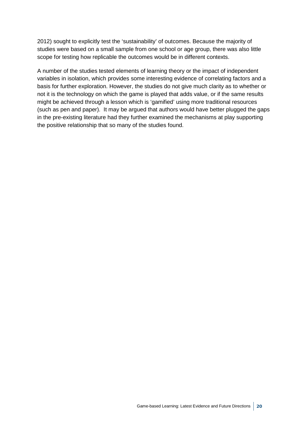2012) sought to explicitly test the 'sustainability' of outcomes. Because the majority of studies were based on a small sample from one school or age group, there was also little scope for testing how replicable the outcomes would be in different contexts.

A number of the studies tested elements of learning theory or the impact of independent variables in isolation, which provides some interesting evidence of correlating factors and a basis for further exploration. However, the studies do not give much clarity as to whether or not it is the technology on which the game is played that adds value, or if the same results might be achieved through a lesson which is 'gamified' using more traditional resources (such as pen and paper). It may be argued that authors would have better plugged the gaps in the pre-existing literature had they further examined the mechanisms at play supporting the positive relationship that so many of the studies found.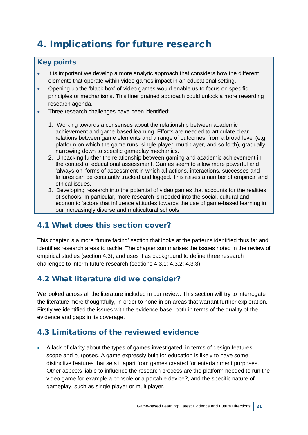## 4. Implications for future research

#### Key points

- It is important we develop a more analytic approach that considers how the different elements that operate within video games impact in an educational setting.
- Opening up the 'black box' of video games would enable us to focus on specific principles or mechanisms. This finer grained approach could unlock a more rewarding research agenda.
- Three research challenges have been identified:
	- 1. Working towards a consensus about the relationship between academic achievement and game-based learning. Efforts are needed to articulate clear relations between game elements and a range of outcomes, from a broad level (e.g. platform on which the game runs, single player, multiplayer, and so forth), gradually narrowing down to specific gameplay mechanics.
	- 2. Unpacking further the relationship between gaming and academic achievement in the context of educational assessment. Games seem to allow more powerful and 'always-on' forms of assessment in which all actions, interactions, successes and failures can be constantly tracked and logged. This raises a number of empirical and ethical issues.
	- 3. Developing research into the potential of video games that accounts for the realities of schools. In particular, more research is needed into the social, cultural and economic factors that influence attitudes towards the use of game-based learning in our increasingly diverse and multicultural schools

#### 4.1 What does this section cover?

This chapter is a more 'future facing' section that looks at the patterns identified thus far and identifies research areas to tackle. The chapter summarises the issues noted in the review of empirical studies (section 4.3), and uses it as background to define three research challenges to inform future research (sections 4.3.1; 4.3.2; 4.3.3).

#### 4.2 What literature did we consider?

We looked across all the literature included in our review. This section will try to interrogate the literature more thoughtfully, in order to hone in on areas that warrant further exploration. Firstly we identified the issues with the evidence base, both in terms of the quality of the evidence and gaps in its coverage.

#### 4.3 Limitations of the reviewed evidence

• A lack of clarity about the types of games investigated, in terms of design features, scope and purposes. A game expressly built for education is likely to have some distinctive features that sets it apart from games created for entertainment purposes. Other aspects liable to influence the research process are the platform needed to run the video game for example a console or a portable device?, and the specific nature of gameplay, such as single player or multiplayer.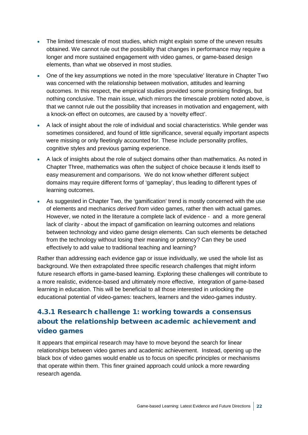- The limited timescale of most studies, which might explain some of the uneven results obtained. We cannot rule out the possibility that changes in performance may require a longer and more sustained engagement with video games, or game-based design elements, than what we observed in most studies.
- One of the key assumptions we noted in the more 'speculative' literature in Chapter Two was concerned with the relationship between motivation, attitudes and learning outcomes. In this respect, the empirical studies provided some promising findings, but nothing conclusive. The main issue, which mirrors the timescale problem noted above, is that we cannot rule out the possibility that increases in motivation and engagement, with a knock-on effect on outcomes, are caused by a 'novelty effect'.
- A lack of insight about the role of individual and social characteristics. While gender was sometimes considered, and found of little significance, several equally important aspects were missing or only fleetingly accounted for. These include personality profiles, cognitive styles and previous gaming experience.
- A lack of insights about the role of subject domains other than mathematics. As noted in Chapter Three, mathematics was often the subject of choice because it lends itself to easy measurement and comparisons. We do not know whether different subject domains may require different forms of 'gameplay', thus leading to different types of learning outcomes.
- As suggested in Chapter Two, the 'gamification' trend is mostly concerned with the use of elements and mechanics *derived from* video games, rather then with actual games. However, we noted in the literature a complete lack of evidence - and a more general lack of clarity - about the impact of gamification on learning outcomes and relations between technology and video game design elements. Can such elements be detached from the technology without losing their meaning or potency? Can they be used effectively to add value to traditional teaching and learning?

Rather than addressing each evidence gap or issue individually, we used the whole list as background. We then extrapolated three specific research challenges that might inform future research efforts in game-based learning. Exploring these challenges will contribute to a more realistic, evidence-based and ultimately more effective, integration of game-based learning in education. This will be beneficial to all those interested in unlocking the educational potential of video-games: teachers, learners and the video-games industry.

## 4.3.1 Research challenge 1: working towards a consensus about the relationship between academic achievement and video games

It appears that empirical research may have to move beyond the search for linear relationships between video games and academic achievement. Instead, opening up the black box of video games would enable us to focus on specific principles or mechanisms that operate within them. This finer grained approach could unlock a more rewarding research agenda.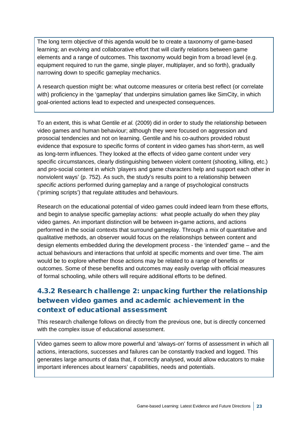The long term objective of this agenda would be to create a taxonomy of game-based learning; an evolving and collaborative effort that will clarify relations between game elements and a range of outcomes. This taxonomy would begin from a broad level (e.g. equipment required to run the game, single player, multiplayer, and so forth), gradually narrowing down to specific gameplay mechanics.

A research question might be: what outcome measures or criteria best reflect (or correlate with) proficiency in the 'gameplay' that underpins simulation games like SimCity, in which goal-oriented actions lead to expected and unexpected consequences.

To an extent, this is what Gentile *et al.* (2009) did in order to study the relationship between video games and human behaviour; although they were focused on aggression and prosocial tendencies and not on learning. Gentile and his co-authors provided robust evidence that exposure to specific forms of content in video games has short-term, as well as long-term influences. They looked at the effects of video game content under very specific circumstances, clearly distinguishing between violent content (shooting, killing, etc.) and pro-social content in which 'players and game characters help and support each other in nonviolent ways' (p. 752). As such, the study's results point to a relationship between *specific actions* performed during gameplay and a range of psychological constructs ('priming scripts') that regulate attitudes and behaviours.

Research on the educational potential of video games could indeed learn from these efforts, and begin to analyse specific gameplay actions: what people actually do when they play video games. An important distinction will be between in-game actions, and actions performed in the social contexts that surround gameplay. Through a mix of quantitative and qualitative methods, an observer would focus on the relationships between content and design elements embedded during the development process - the 'intended' game – and the actual behaviours and interactions that unfold at specific moments and over time. The aim would be to explore whether those actions may be related to a range of benefits or outcomes. Some of these benefits and outcomes may easily overlap with official measures of formal schooling, while others will require additional efforts to be defined.

### 4.3.2 Research challenge 2: unpacking further the relationship between video games and academic achievement in the context of educational assessment

This research challenge follows on directly from the previous one, but is directly concerned with the complex issue of educational assessment.

Video games seem to allow more powerful and 'always-on' forms of assessment in which all actions, interactions, successes and failures can be constantly tracked and logged. This generates large amounts of data that, if correctly analysed, would allow educators to make important inferences about learners' capabilities, needs and potentials.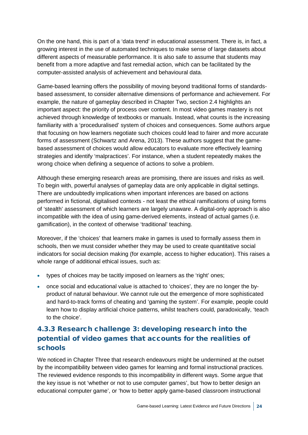On the one hand, this is part of a 'data trend' in educational assessment. There is, in fact, a growing interest in the use of automated techniques to make sense of large datasets about different aspects of measurable performance. It is also safe to assume that students may benefit from a more adaptive and fast remedial action, which can be facilitated by the computer-assisted analysis of achievement and behavioural data.

Game-based learning offers the possibility of moving beyond traditional forms of standardsbased assessment, to consider alternative dimensions of performance and achievement. For example, the nature of gameplay described in Chapter Two, section 2.4 highlights an important aspect: the priority of process over content. In most video games mastery is not achieved through knowledge of textbooks or manuals. Instead, what counts is the increasing familiarity with a 'proceduralised' system of choices and consequences. Some authors argue that focusing on how learners negotiate such choices could lead to fairer and more accurate forms of assessment (Schwartz and Arena, 2013). These authors suggest that the gamebased assessment of choices would allow educators to evaluate more effectively learning strategies and identify 'malpractices'. For instance, when a student repeatedly makes the wrong choice when defining a sequence of actions to solve a problem.

Although these emerging research areas are promising, there are issues and risks as well. To begin with, powerful analyses of gameplay data are only applicable in digital settings. There are undoubtedly implications when important inferences are based on actions performed in fictional, digitalised contexts - not least the ethical ramifications of using forms of 'stealth' assessment of which learners are largely unaware. A digital-only approach is also incompatible with the idea of using game-derived elements, instead of actual games (i.e. gamification), in the context of otherwise 'traditional' teaching.

Moreover, if the 'choices' that learners make in games is used to formally assess them in schools, then we must consider whether they may be used to create quantitative social indicators for social decision making (for example, access to higher education). This raises a whole range of additional ethical issues, such as:

- types of choices may be tacitly imposed on learners as the 'right' ones;
- once social and educational value is attached to 'choices', they are no longer the byproduct of natural behaviour. We cannot rule out the emergence of more sophisticated and hard-to-track forms of cheating and 'gaming the system'. For example, people could learn how to display artificial choice patterns, whilst teachers could, paradoxically, 'teach to the choice'.

### 4.3.3 Research challenge 3: developing research into the potential of video games that accounts for the realities of schools

We noticed in Chapter Three that research endeavours might be undermined at the outset by the incompatibility between video games for learning and formal instructional practices. The reviewed evidence responds to this incompatibility in different ways. Some argue that the key issue is not 'whether or not to use computer games', but 'how to better design an educational computer game', or 'how to better apply game-based classroom instructional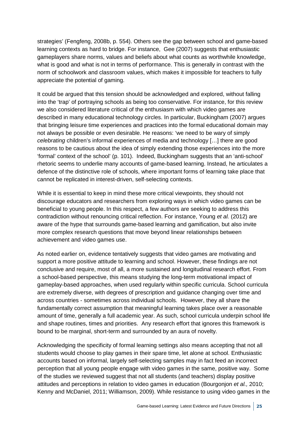strategies' (Fengfeng, 2008b, p. 554). Others see the gap between school and game-based learning contexts as hard to bridge. For instance, Gee (2007) suggests that enthusiastic gameplayers share norms, values and beliefs about what counts as worthwhile knowledge, what is good and what is not in terms of performance. This is generally in contrast with the norm of schoolwork and classroom values, which makes it impossible for teachers to fully appreciate the potential of gaming.

It could be argued that this tension should be acknowledged and explored, without falling into the 'trap' of portraying schools as being too conservative. For instance, for this review we also considered literature critical of the enthusiasm with which video games are described in many educational technology circles. In particular, Buckingham (2007) argues that bringing leisure time experiences and practices into the formal educational domain may not always be possible or even desirable. He reasons: 'we need to be wary of simply *celebrating* children's informal experiences of media and technology […] there are good reasons to be cautious about the idea of simply extending those experiences into the more 'formal' context of the school' (p. 101). Indeed, Buckingham suggests that an 'anti-school' rhetoric seems to underlie many accounts of game-based learning. Instead, he articulates a defence of the distinctive role of schools, where important forms of learning take place that cannot be replicated in interest-driven, self-selecting contexts.

While it is essential to keep in mind these more critical viewpoints, they should not discourage educators and researchers from exploring ways in which video games can be beneficial to young people. In this respect, a few authors are seeking to address this contradiction without renouncing critical reflection. For instance, Young *et al.* (2012) are aware of the hype that surrounds game-based learning and gamification, but also invite more complex research questions that move beyond linear relationships between achievement and video games use.

As noted earlier on, evidence tentatively suggests that video games are motivating and support a more positive attitude to learning and school. However, these findings are not conclusive and require, most of all, a more sustained and longitudinal research effort. From a school-based perspective, this means studying the long-term motivational impact of gameplay-based approaches, when used regularly within specific curricula. School curricula are extremely diverse, with degrees of prescription and guidance changing over time and across countries - sometimes across individual schools. However, they all share the fundamentally correct assumption that meaningful learning takes place over a reasonable amount of time, generally a full academic year. As such, school curricula underpin school life and shape routines, times and priorities. Any research effort that ignores this framework is bound to be marginal, short-term and surrounded by an aura of novelty.

Acknowledging the specificity of formal learning settings also means accepting that not all students would choose to play games in their spare time, let alone at school. Enthusiastic accounts based on informal, largely self-selecting samples may in fact feed an incorrect perception that all young people engage with video games in the same, positive way. Some of the studies we reviewed suggest that not all students (and teachers) display positive attitudes and perceptions in relation to video games in education (Bourgonjon *et al.,* 2010; Kenny and McDaniel, 2011; Williamson, 2009). While resistance to using video games in the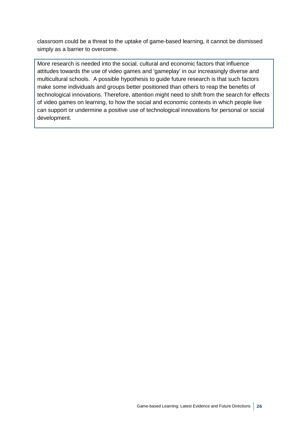classroom could be a threat to the uptake of game-based learning, it cannot be dismissed simply as a barrier to overcome.

More research is needed into the social, cultural and economic factors that influence attitudes towards the use of video games and 'gameplay' in our increasingly diverse and multicultural schools. A possible hypothesis to guide future research is that such factors make some individuals and groups better positioned than others to reap the benefits of technological innovations. Therefore, attention might need to shift from the search for effects of video games on learning, to how the social and economic contexts in which people live can support or undermine a positive use of technological innovations for personal or social development.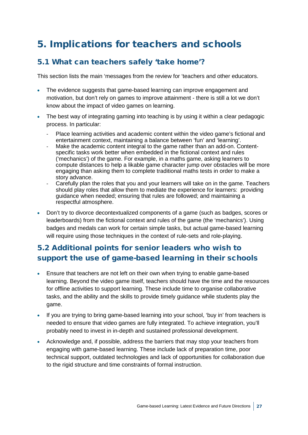## 5. Implications for teachers and schools

### 5.1 What can teachers safely 'take home'?

This section lists the main 'messages from the review for 'teachers and other educators.

- The evidence suggests that game-based learning can improve engagement and motivation, but don't rely on games to improve attainment - there is still a lot we don't know about the impact of video games on learning.
- The best way of integrating gaming into teaching is by using it within a clear pedagogic process. In particular:
	- Place learning activities and academic content within the video game's fictional and entertainment context, maintaining a balance between 'fun' and 'learning'.
	- Make the academic content integral to the game rather than an add-on. Contentspecific tasks work better when embedded in the fictional context and rules ('mechanics') of the game. For example, in a maths game, asking learners to compute distances to help a likable game character jump over obstacles will be more engaging than asking them to complete traditional maths tests in order to make a story advance.
	- Carefully plan the roles that you and your learners will take on in the game. Teachers should play roles that allow them to mediate the experience for learners: providing guidance when needed; ensuring that rules are followed; and maintaining a respectful atmosphere.
- Don't try to divorce decontextualized components of a game (such as badges, scores or leaderboards) from the fictional context and rules of the game (the 'mechanics'). Using badges and medals can work for certain simple tasks, but actual game-based learning will require using those techniques in the context of rule-sets and role-playing.

## 5.2 Additional points for senior leaders who wish to support the use of game-based learning in their schools

- Ensure that teachers are not left on their own when trying to enable game-based learning. Beyond the video game itself, teachers should have the time and the resources for offline activities to support learning. These include time to organise collaborative tasks, and the ability and the skills to provide timely guidance while students play the game.
- If you are trying to bring game-based learning into your school, 'buy in' from teachers is needed to ensure that video games are fully integrated. To achieve integration, you'll probably need to invest in in-depth and sustained professional development.
- Acknowledge and, if possible, address the barriers that may stop your teachers from engaging with game-based learning. These include lack of preparation time, poor technical support, outdated technologies and lack of opportunities for collaboration due to the rigid structure and time constraints of formal instruction.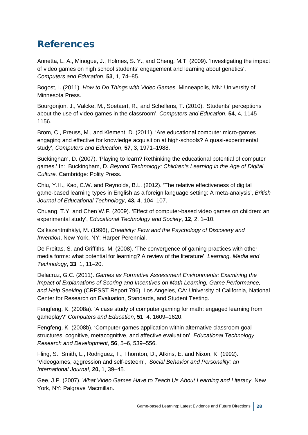## References

Annetta, L. A., Minogue, J., Holmes, S. Y., and Cheng, M.T. (2009). 'Investigating the impact of video games on high school students' engagement and learning about genetics', *Computers and Education*, **53**, 1, 74–85.

Bogost, I. (2011). *How to Do Things with Video Games.* Minneapolis, MN: University of Minnesota Press.

Bourgonjon, J., Valcke, M., Soetaert, R., and Schellens, T. (2010). 'Students' perceptions about the use of video games in the classroom', *Computers and Education*, **54**, 4, 1145– 1156.

Brom, C., Preuss, M., and Klement, D. (2011). 'Are educational computer micro-games engaging and effective for knowledge acquisition at high-schools? A quasi-experimental study', *Computers and Education*, **57**, 3, 1971–1988.

Buckingham, D. (2007). 'Playing to learn? Rethinking the educational potential of computer games.' In: Buckingham, D. *Beyond Technology: Children's Learning in the Age of Digital Culture.* Cambridge: Polity Press.

Chiu, Y.H., Kao, C.W. and Reynolds, B.L. (2012). 'The relative effectiveness of digital game‐based learning types in English as a foreign language setting: A meta‐analysis', *British Journal of Educational Technology*, **43,** 4, 104–107.

Chuang, T.Y. and Chen W.F. (2009). 'Effect of computer-based video games on children: an experimental study', *Educational Technology and Society*, **12**, 2, 1–10.

Csíkszentmihályi, M. (1996), *Creativity: Flow and the Psychology of Discovery and Invention*, New York, NY: Harper Perennial.

De Freitas, S. and Griffiths, M. (2008). 'The convergence of gaming practices with other media forms: what potential for learning? A review of the literature', *Learning, Media and Technology*, **33**, 1, 11–20.

Delacruz, G.C. (2011). *Games as Formative Assessment Environments: Examining the Impact of Explanations of Scoring and Incentives on Math Learning, Game Performance, and Help Seeking* (CRESST Report 796). Los Angeles, CA: University of California, National Center for Research on Evaluation, Standards, and Student Testing.

Fengfeng, K. (2008a). 'A case study of computer gaming for math: engaged learning from gameplay?' *Computers and Education*, **51**, 4, 1609–1620.

Fengfeng, K. (2008b). 'Computer games application within alternative classroom goal structures: cognitive, metacognitive, and affective evaluation', *Educational Technology Research and Development*, **56**, 5–6, 539–556.

Fling, S., Smith, L., Rodriguez, T., Thornton, D., Atkins, E. and Nixon, K. (1992). 'Videogames, aggression and self-esteem', *Social Behavior and Personality: an International Journal*, **20,** 1, 39–45.

Gee, J.P. (2007). *What Video Games Have to Teach Us About Learning and Literacy*. New York, NY: Palgrave Macmillan.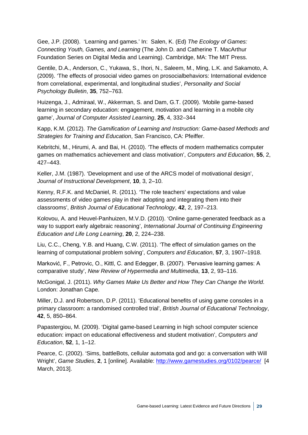Gee, J.P. (2008). 'Learning and games.' In: Salen, K. (Ed) *The Ecology of Games: Connecting Youth, Games, and Learning* (The John D. and Catherine T. MacArthur Foundation Series on Digital Media and Learning). Cambridge, MA: The MIT Press.

Gentile, D.A., Anderson, C., Yukawa, S., Ihori, N., Saleem, M., Ming, L.K. and Sakamoto, A. (2009). 'The effects of prosocial video games on prosocialbehaviors: International evidence from correlational, experimental, and longitudinal studies', *Personality and Social Psychology Bulletin*, **35**, 752–763.

Huizenga, J., Admiraal, W., Akkerman, S. and Dam, G.T. (2009). 'Mobile game‐based learning in secondary education: engagement, motivation and learning in a mobile city game', *Journal of Computer Assisted Learning*, **25**, 4, 332–344

Kapp, K.M. (2012). *The Gamification of Learning and Instruction: Game-based Methods and Strategies for Training and Education*, San Francisco, CA: Pfeiffer.

Kebritchi, M., Hirumi, A. and Bai, H. (2010). 'The effects of modern mathematics computer games on mathematics achievement and class motivation', *Computers and Education*, **55**, 2, 427–443.

Keller, J.M. (1987). 'Development and use of the ARCS model of motivational design', *Journal of Instructional Development*, **10**, 3, 2–10.

Kenny, R.F.K. and McDaniel, R. (2011). 'The role teachers' expectations and value assessments of video games play in their adopting and integrating them into their classrooms', *British Journal of Educational Technology*, **42**, 2, 197–213.

Kolovou, A. and Heuvel-Panhuizen, M.V.D. (2010). 'Online game-generated feedback as a way to support early algebraic reasoning', *International Journal of Continuing Engineering Education and Life Long Learning*, **20**, 2, 224–238.

Liu, C.C., Cheng, Y.B. and Huang, C.W. (2011). 'The effect of simulation games on the learning of computational problem solving', *Computers and Education*, **57**, 3, 1907–1918.

Marković, F., Petrovic, O., Kittl, C. and Edegger, B. (2007). 'Pervasive learning games: A comparative study', *New Review of Hypermedia and Multimedia*, **13**, 2, 93–116.

McGonigal, J. (2011). *Why Games Make Us Better and How They Can Change the World*. London: Jonathan Cape.

Miller, D.J. and Robertson, D.P. (2011). 'Educational benefits of using game consoles in a primary classroom: a randomised controlled trial', *British Journal of Educational Technology*, **42**, 5, 850–864.

Papastergiou, M. (2009). 'Digital game-based Learning in high school computer science education: impact on educational effectiveness and student motivation', *Computers and Education*, **52**, 1, 1–12.

Pearce, C. (2002). 'Sims, battleBots, cellular automata god and go: a conversation with Will Wright', *Game Studies*, **2**, 1 [online]. Available:<http://www.gamestudies.org/0102/pearce/>[4 March, 2013].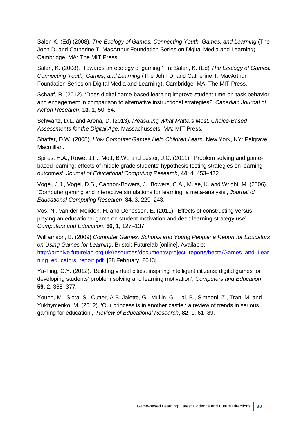Salen K. (Ed) (2008). *The Ecology of Games, Connecting Youth, Games, and Learning* (The John D. and Catherine T. MacArthur Foundation Series on Digital Media and Learning). Cambridge, MA: The MIT Press.

Salen, K. (2008). 'Towards an ecology of gaming.' In: Salen, K. (Ed) *The Ecology of Games: Connecting Youth, Games, and Learning* (The John D. and Catherine T. MacArthur Foundation Series on Digital Media and Learning). Cambridge, MA: The MIT Press.

Schaaf, R. (2012). 'Does digital game-based learning improve student time-on-task behavior and engagement in comparison to alternative instructional strategies?' *Canadian Journal of Action Research*, **13**, 1, 50–64.

Schwartz, D.L. and Arena, D. (2013). *Measuring What Matters Most. Choice-Based Assessments for the Digital Age*. Massachussets, MA: MIT Press.

Shaffer, D.W. (2008). *How Computer Games Help Children Learn*. New York, NY: Palgrave Macmillan.

Spires, H.A., Rowe, J.P., Mott, B.W., and Lester, J.C. (2011). 'Problem solving and gamebased learning: effects of middle grade students' hypothesis testing strategies on learning outcomes', *Journal of Educational Computing Research*, **44**, 4, 453–472.

Vogel, J.J., Vogel, D.S., Cannon-Bowers, J., Bowers, C.A., Muse, K. and Wright, M. (2006). 'Computer gaming and interactive simulations for learning: a meta-analysis', *Journal of Educational Computing Research*, **34**, 3, 229–243.

Vos, N., van der Meijden, H. and Denessen, E. (2011). 'Effects of constructing versus playing an educational game on student motivation and deep learning strategy use', *Computers and Education*, **56**, 1, 127–137.

Williamson, B. (2009) *Computer Games, Schools and Young People: a Report for Educators on Using Games for Learning*. Bristol: Futurelab [online]. Available: [http://archive.futurelab.org.uk/resources/documents/project\\_reports/becta/Games\\_and\\_Lear](http://archive.futurelab.org.uk/resources/documents/project_reports/becta/Games_and_Learning_educators_report.pdf) [ning\\_educators\\_report.pdf](http://archive.futurelab.org.uk/resources/documents/project_reports/becta/Games_and_Learning_educators_report.pdf) [28 February, 2013].

Ya-Ting, C.Y. (2012). 'Building virtual cities, inspiring intelligent citizens: digital games for developing students' problem solving and learning motivation', *Computers and Education*, **59**, 2, 365–377.

Young, M., Slota, S., Cutter, A.B. Jalette, G., Mullin, G., Lai, B., Simeoni, Z., Tran, M. and Yukhymenko, M. (2012). 'Our princess is in another castle : a review of trends in serious gaming for education', *Review of Educational Research*, **82**, 1, 61–89.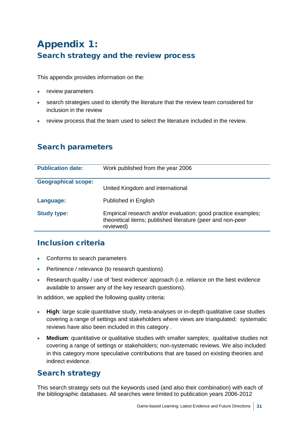## Appendix 1: Search strategy and the review process

This appendix provides information on the:

- review parameters
- search strategies used to identify the literature that the review team considered for inclusion in the review
- review process that the team used to select the literature included in the review.

## Search parameters

| <b>Publication date:</b>   | Work published from the year 2006                                                                                                        |
|----------------------------|------------------------------------------------------------------------------------------------------------------------------------------|
| <b>Geographical scope:</b> |                                                                                                                                          |
|                            | United Kingdom and international                                                                                                         |
| Language:                  | Published in English                                                                                                                     |
| <b>Study type:</b>         | Empirical research and/or evaluation; good practice examples;<br>theoretical items; published literature (peer and non-peer<br>reviewed) |

#### Inclusion criteria

- Conforms to search parameters
- Pertinence / relevance (to research questions)
- Research quality / use of 'best evidence' approach (i.e. reliance on the best evidence available to answer any of the key research questions).

In addition, we applied the following quality criteria:

- **High**: large scale quantitative study, meta-analyses or in-depth qualitative case studies covering a range of settings and stakeholders where views are triangulated; systematic reviews have also been included in this category .
- **Medium**: quantitative or qualitative studies with smaller samples; qualitative studies not covering a range of settings or stakeholders; non-systematic reviews. We also included in this category more speculative contributions that are based on existing theories and indirect evidence.

## Search strategy

This search strategy sets out the keywords used (and also their combination) with each of the bibliographic databases. All searches were limited to publication years 2006-2012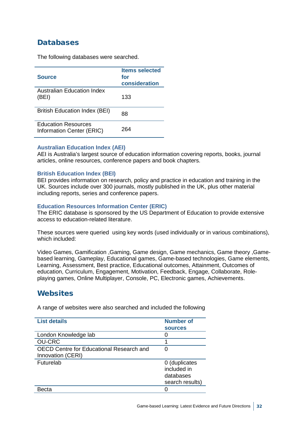### **Databases**

The following databases were searched.

| <b>Source</b>                                           | <b>Items selected</b><br>for<br>consideration |
|---------------------------------------------------------|-----------------------------------------------|
| Australian Education Index<br>(BEI)                     | 133                                           |
| <b>British Education Index (BEI)</b>                    | 88                                            |
| <b>Education Resources</b><br>Information Center (ERIC) | 264                                           |

#### **Australian Education Index (AEI)**

AEI is Australia's largest source of education information covering reports, books, journal articles, online resources, conference papers and book chapters.

#### **British Education Index (BEI)**

BEI provides information on research, policy and practice in education and training in the UK. Sources include over 300 journals, mostly published in the UK, plus other material including reports, series and conference papers.

#### **Education Resources Information Center (ERIC)**

The ERIC database is sponsored by the US Department of Education to provide extensive access to education-related literature.

These sources were queried using key words (used individually or in various combinations), which included:

Video Games, Gamification ,Gaming, Game design, Game mechanics, Game theory ,Gamebased learning, Gameplay, Educational games, Game-based technologies, Game elements, Learning, Assessment, Best practice, Educational outcomes, Attainment, Outcomes of education, Curriculum, Engagement, Motivation, Feedback, Engage, Collaborate, Roleplaying games, Online Multiplayer, Console, PC, Electronic games, Achievements.

#### **Websites**

A range of websites were also searched and included the following

| <b>List details</b>                             | <b>Number of</b> |
|-------------------------------------------------|------------------|
|                                                 | <b>sources</b>   |
| London Knowledge lab                            |                  |
| <b>OU-CRC</b>                                   |                  |
| <b>OECD Centre for Educational Research and</b> |                  |
| Innovation (CERI)                               |                  |
| Futurelab                                       | 0 (duplicates    |
|                                                 | included in      |
|                                                 | databases        |
|                                                 | search results)  |
| Becta                                           |                  |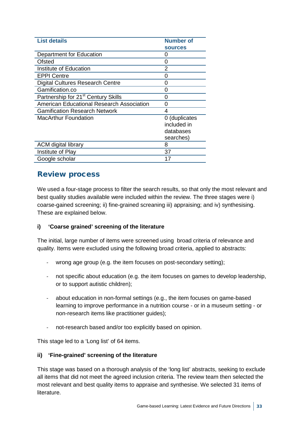| <b>List details</b>                             | <b>Number of</b>  |
|-------------------------------------------------|-------------------|
|                                                 | <b>sources</b>    |
| Department for Education                        | O                 |
| Ofsted                                          |                   |
| Institute of Education                          | 2                 |
| <b>EPPI Centre</b>                              | $\mathbf{\Omega}$ |
| <b>Digital Cultures Research Centre</b>         | $\mathbf{\Omega}$ |
| Gamification.co                                 | $\mathbf{I}$      |
| Partnership for 21 <sup>st</sup> Century Skills | O                 |
| American Educational Research Association       | 0                 |
| <b>Gamification Research Network</b>            | 4                 |
| <b>MacArthur Foundation</b>                     | 0 (duplicates     |
|                                                 | included in       |
|                                                 | databases         |
|                                                 | searches)         |
| <b>ACM</b> digital library                      | 8                 |
| Institute of Play                               | 37                |
| Google scholar                                  | 17                |

### Review process

We used a four-stage process to filter the search results, so that only the most relevant and best quality studies available were included within the review. The three stages were i) coarse-gained screening; ii) fine-grained screaning iii) appraising; and iv) synthesising. These are explained below.

#### **i) 'Coarse grained' screening of the literature**

The initial, large number of items were screened using broad criteria of relevance and quality. Items were excluded using the following broad criteria, applied to abstracts:

- wrong age group (e.g. the item focuses on post-secondary setting);
- not specific about education (e.g. the item focuses on games to develop leadership, or to support autistic children);
- about education in non-formal settings (e.g., the item focuses on game-based learning to improve performance in a nutrition course - or in a museum setting - or non-research items like practitioner guides);
- not-research based and/or too explicitly based on opinion.

This stage led to a 'Long list' of 64 items.

#### **ii) 'Fine-grained' screening of the literature**

This stage was based on a thorough analysis of the 'long list' abstracts, seeking to exclude all items that did not meet the agreed inclusion criteria. The review team then selected the most relevant and best quality items to appraise and synthesise. We selected 31 items of literature.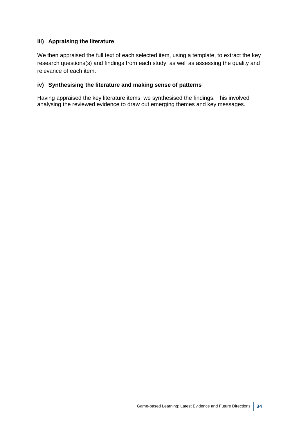#### **iii) Appraising the literature**

We then appraised the full text of each selected item, using a template, to extract the key research questions(s) and findings from each study, as well as assessing the quality and relevance of each item.

#### **iv) Synthesising the literature and making sense of patterns**

Having appraised the key literature items, we synthesised the findings. This involved analysing the reviewed evidence to draw out emerging themes and key messages.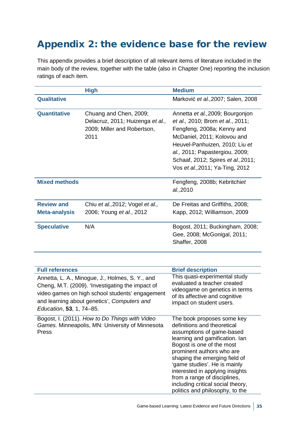## Appendix 2: the evidence base for the review

This appendix provides a brief description of all relevant items of literature included in the main body of the review, together with the table (also in Chapter One) reporting the inclusion ratings of each item.

|                                           | <b>High</b>                                                                                       | <b>Medium</b>                                                                                                                                                                                                                                                                         |
|-------------------------------------------|---------------------------------------------------------------------------------------------------|---------------------------------------------------------------------------------------------------------------------------------------------------------------------------------------------------------------------------------------------------------------------------------------|
| <b>Qualitative</b>                        |                                                                                                   | Marković et al., 2007; Salen, 2008                                                                                                                                                                                                                                                    |
| <b>Quantitative</b>                       | Chuang and Chen, 2009;<br>Delacruz, 2011; Huizenga et al.,<br>2009; Miller and Robertson,<br>2011 | Annetta et al., 2009; Bourgonjon<br>et al., 2010; Brom et al., 2011;<br>Fengfeng, 2008a; Kenny and<br>McDaniel, 2011; Kolovou and<br>Heuvel-Panhuizen, 2010; Liu et<br><i>al.,</i> 2011; Papastergiou, 2009;<br>Schaaf, 2012; Spires et al., 2011;<br>Vos et al., 2011; Ya-Ting, 2012 |
| <b>Mixed methods</b>                      |                                                                                                   | Fengfeng, 2008b; Kebritchiet<br>al.,2010                                                                                                                                                                                                                                              |
| <b>Review and</b><br><b>Meta-analysis</b> | Chiu et al., 2012; Vogel et al.,<br>2006; Young et al., 2012                                      | De Freitas and Griffiths, 2008;<br>Kapp, 2012; Williamson, 2009                                                                                                                                                                                                                       |
| <b>Speculative</b>                        | N/A                                                                                               | Bogost, 2011; Buckingham, 2008;<br>Gee, 2008; McGonigal, 2011;<br>Shaffer, 2008                                                                                                                                                                                                       |

| <b>Full references</b>                                                                                                                                                                                                            | <b>Brief description</b>                                                                                                                                                                                                                                                                                                                                                                       |
|-----------------------------------------------------------------------------------------------------------------------------------------------------------------------------------------------------------------------------------|------------------------------------------------------------------------------------------------------------------------------------------------------------------------------------------------------------------------------------------------------------------------------------------------------------------------------------------------------------------------------------------------|
| Annetta, L. A., Minogue, J., Holmes, S. Y., and<br>Cheng, M.T. (2009). 'Investigating the impact of<br>video games on high school students' engagement<br>and learning about genetics', Computers and<br>Education, 53, 1, 74–85. | This quasi-experimental study<br>evaluated a teacher created<br>videogame on genetics in terms<br>of its affective and cognitive<br>impact on student users.                                                                                                                                                                                                                                   |
| Bogost, I. (2011). How to Do Things with Video<br>Games. Minneapolis, MN: University of Minnesota<br><b>Press</b>                                                                                                                 | The book proposes some key<br>definitions and theoretical<br>assumptions of game-based<br>learning and gamification. Ian<br>Bogost is one of the most<br>prominent authors who are<br>shaping the emerging field of<br>'game studies'. He is mainly<br>interested in applying insights<br>from a range of disciplines,<br>including critical social theory,<br>politics and philosophy, to the |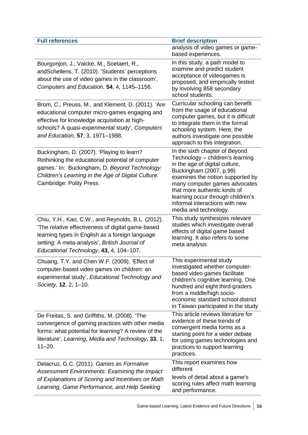| <b>Full references</b>                                                                                                                                                                                                                                | <b>Brief description</b>                                                                                                                                                                                                                                                                                                             |
|-------------------------------------------------------------------------------------------------------------------------------------------------------------------------------------------------------------------------------------------------------|--------------------------------------------------------------------------------------------------------------------------------------------------------------------------------------------------------------------------------------------------------------------------------------------------------------------------------------|
|                                                                                                                                                                                                                                                       | analysis of video games or game-<br>based experiences.                                                                                                                                                                                                                                                                               |
| Bourgonjon, J., Valcke, M., Soetaert, R.,<br>andSchellens, T. (2010). 'Students' perceptions<br>about the use of video games in the classroom',<br>Computers and Education, 54, 4, 1145-1156.                                                         | In this study, a path model to<br>examine and predict student<br>acceptance of videogames is<br>proposed, and empirically tested<br>by involving 858 secondary<br>school students.                                                                                                                                                   |
| Brom, C., Preuss, M., and Klement, D. (2011). 'Are<br>educational computer micro-games engaging and<br>effective for knowledge acquisition at high-<br>schools? A quasi-experimental study', Computers<br>and Education, 57, 3, 1971-1988.            | Curricular schooling can benefit<br>from the usage of educational<br>computer games, but it is difficult<br>to integrate them in the formal<br>schooling system. Here, the<br>authors investigate one possible<br>approach to this integration.                                                                                      |
| Buckingham, D. (2007). 'Playing to learn?<br>Rethinking the educational potential of computer<br>games.' In: Buckingham, D. Beyond Technology:<br>Children's Learning in the Age of Digital Culture.<br>Cambridge: Polity Press.                      | In the sixth chapter of Beyond<br>Technology - children's learning<br>in the age of digital culture,<br>Buckingham (2007, p.99)<br>examines the notion supported by<br>many computer games advocates<br>that more authentic kinds of<br>learning occur through children's<br>informal interactions with new<br>media and technology. |
| Chiu, Y.H., Kao, C.W., and Reynolds, B.L. (2012).<br>'The relative effectiveness of digital game-based<br>learning types in English as a foreign language<br>setting: A meta-analysis', British Journal of<br>Educational Technology, 43, 4, 104-107. | This study synthesizes relevant<br>studies which investigate overall<br>effects of digital game based<br>learning. It also refers to some<br>meta analysis                                                                                                                                                                           |
| Chuang, T.Y. and Chen W.F. (2009). 'Effect of<br>computer-based video games on children: an<br>experimental study', Educational Technology and<br>Society, 12, 2, 1-10.                                                                               | This experimental study<br>investigated whether computer-<br>based video games facilitate<br>children's cognitive learning. One<br>hundred and eight third-graders<br>from a middle/high socio-<br>economic standard school district<br>in Taiwan participated in the study                                                          |
| De Freitas, S. and Griffiths, M. (2008). 'The<br>convergence of gaming practices with other media<br>forms: what potential for learning? A review of the<br>literature', Learning, Media and Technology, 33, 1,<br>$11 - 20.$                         | This article reviews literature for<br>evidence of these trends of<br>convergent media forms as a<br>starting point for a wider debate<br>for using games technologies and<br>practices to support learning<br>practices.                                                                                                            |
| Delacruz, G.C. (2011). Games as Formative<br>Assessment Environments: Examining the Impact<br>of Explanations of Scoring and Incentives on Math<br>Learning, Game Performance, and Help Seeking                                                       | This report examines how<br>different<br>levels of detail about a game's<br>scoring rules affect math learning<br>and performance.                                                                                                                                                                                                   |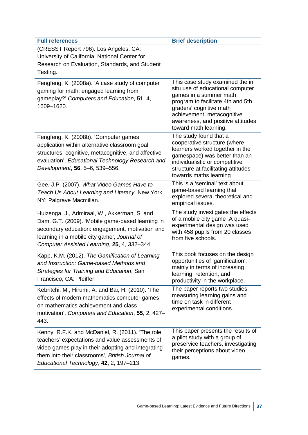| <b>Full references</b>                                                                                                                                                                                                                                  | <b>Brief description</b>                                                                                                                                                                                                                                  |
|---------------------------------------------------------------------------------------------------------------------------------------------------------------------------------------------------------------------------------------------------------|-----------------------------------------------------------------------------------------------------------------------------------------------------------------------------------------------------------------------------------------------------------|
| (CRESST Report 796). Los Angeles, CA:                                                                                                                                                                                                                   |                                                                                                                                                                                                                                                           |
| University of California, National Center for                                                                                                                                                                                                           |                                                                                                                                                                                                                                                           |
| Research on Evaluation, Standards, and Student                                                                                                                                                                                                          |                                                                                                                                                                                                                                                           |
| Testing.                                                                                                                                                                                                                                                |                                                                                                                                                                                                                                                           |
| Fengfeng, K. (2008a). 'A case study of computer<br>gaming for math: engaged learning from<br>gameplay?' Computers and Education, 51, 4,<br>1609-1620.                                                                                                   | This case study examined the in<br>situ use of educational computer<br>games in a summer math<br>program to facilitate 4th and 5th<br>graders' cognitive math<br>achievement, metacognitive<br>awareness, and positive attitudes<br>toward math learning. |
| Fengfeng, K. (2008b). 'Computer games<br>application within alternative classroom goal<br>structures: cognitive, metacognitive, and affective<br>evaluation', Educational Technology Research and<br>Development, 56, 5-6, 539-556.                     | The study found that a<br>cooperative structure (where<br>learners worked together in the<br>gamespace) was better than an<br>individualistic or competitive<br>structure at facilitating attitudes<br>towards maths learning                             |
| Gee, J.P. (2007). What Video Games Have to<br>Teach Us About Learning and Literacy. New York,<br>NY: Palgrave Macmillan.                                                                                                                                | This is a 'seminal' text about<br>game-based learning that<br>explored several theoretical and<br>empirical issues.                                                                                                                                       |
| Huizenga, J., Admiraal, W., Akkerman, S. and<br>Dam, G.T. (2009). 'Mobile game-based learning in<br>secondary education: engagement, motivation and<br>learning in a mobile city game', Journal of<br>Computer Assisted Learning, 25, 4, 332-344.       | The study investigates the effects<br>of a mobile city game .A quasi-<br>experimental design was used<br>with 458 pupils from 20 classes<br>from five schools.                                                                                            |
| Kapp, K.M. (2012). The Gamification of Learning<br>and Instruction: Game-based Methods and<br>Strategies for Training and Education, San<br>Francisco, CA: Pfeiffer.                                                                                    | This book focuses on the design<br>opportunities of 'gamification',<br>mainly in terms of increasing<br>learning, retention, and<br>productivity in the workplace.                                                                                        |
| Kebritchi, M., Hirumi, A. and Bai, H. (2010). 'The<br>effects of modern mathematics computer games<br>on mathematics achievement and class<br>motivation', Computers and Education, 55, 2, 427-<br>443.                                                 | The paper reports two studies,<br>measuring learning gains and<br>time on task in different<br>experimental conditions.                                                                                                                                   |
| Kenny, R.F.K. and McDaniel, R. (2011). 'The role<br>teachers' expectations and value assessments of<br>video games play in their adopting and integrating<br>them into their classrooms', British Journal of<br>Educational Technology, 42, 2, 197-213. | This paper presents the results of<br>a pilot study with a group of<br>preservice teachers, investigating<br>their perceptions about video<br>games.                                                                                                      |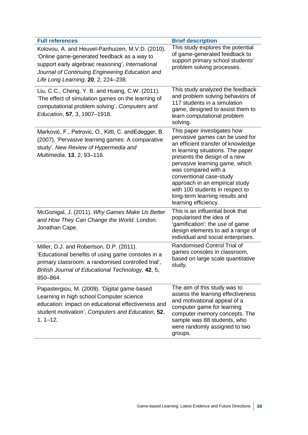| <b>Full references</b>                                                                                                                                                                                                                         | <b>Brief description</b>                                                                                                                                                                                                                                                                                                                                                                     |
|------------------------------------------------------------------------------------------------------------------------------------------------------------------------------------------------------------------------------------------------|----------------------------------------------------------------------------------------------------------------------------------------------------------------------------------------------------------------------------------------------------------------------------------------------------------------------------------------------------------------------------------------------|
| Kolovou, A. and Heuvel-Panhuizen, M.V.D. (2010).<br>'Online game-generated feedback as a way to<br>support early algebraic reasoning', International<br>Journal of Continuing Engineering Education and<br>Life Long Learning, 20, 2, 224-238. | This study explores the potential<br>of game-generated feedback to<br>support primary school students'<br>problem solving processes.                                                                                                                                                                                                                                                         |
| Liu, C.C., Cheng, Y. B. and Huang, C.W. (2011).<br>'The effect of simulation games on the learning of<br>computational problem solving', Computers and<br>Education, 57, 3, 1907-1918.                                                         | This study analyzed the feedback<br>and problem solving behaviors of<br>117 students in a simulation<br>game, designed to assist them to<br>learn computational problem<br>solving.                                                                                                                                                                                                          |
| Marković, F., Petrovic, O., Kittl, C. and Edegger, B.<br>(2007). 'Pervasive learning games: A comparative<br>study', New Review of Hypermedia and<br>Multimedia, 13, 2, 93-116.                                                                | This paper investigates how<br>pervasive games can be used for<br>an efficient transfer of knowledge<br>in learning situations. The paper<br>presents the design of a new<br>pervasive learning game, which<br>was compared with a<br>conventional case-study<br>approach in an empirical study<br>with 100 students in respect to<br>long-term learning results and<br>learning efficiency. |
| McGonigal, J. (2011). Why Games Make Us Better<br>and How They Can Change the World. London:<br>Jonathan Cape.                                                                                                                                 | This is an influential book that<br>popularised the idea of<br>'gamification': the use of game<br>design elements to aid a range of<br>individual and social enterprises.                                                                                                                                                                                                                    |
| Miller, D.J. and Robertson, D.P. (2011).<br>'Educational benefits of using game consoles in a<br>primary classroom: a randomised controlled trial',<br>British Journal of Educational Technology, 42, 5,<br>850-864.                           | Randomised Control Trial of<br>games consoles in classroom,<br>based on large scale quantitative<br>study.                                                                                                                                                                                                                                                                                   |
| Papastergiou, M. (2009). 'Digital game-based<br>Learning in high school Computer science<br>education: impact on educational effectiveness and<br>student motivation', Computers and Education, 52,<br>$1, 1 - 12.$                            | The aim of this study was to<br>assess the learning effectiveness<br>and motivational appeal of a<br>computer game for learning<br>computer memory concepts. The<br>sample was 88 students, who<br>were randomly assigned to two<br>groups.                                                                                                                                                  |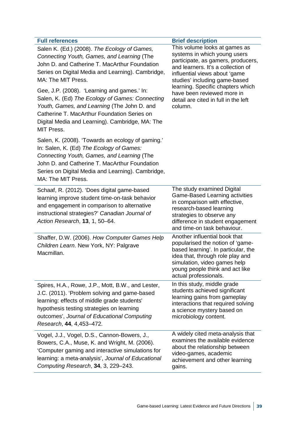| <b>Full references</b>                                                                                                                                                                                                                                                    | <b>Brief description</b>                                                                                                                                                                                                                                                                                                          |
|---------------------------------------------------------------------------------------------------------------------------------------------------------------------------------------------------------------------------------------------------------------------------|-----------------------------------------------------------------------------------------------------------------------------------------------------------------------------------------------------------------------------------------------------------------------------------------------------------------------------------|
| Salen K. (Ed.) (2008). The Ecology of Games,<br>Connecting Youth, Games, and Learning (The<br>John D. and Catherine T. MacArthur Foundation<br>Series on Digital Media and Learning). Cambridge,<br>MA: The MIT Press.                                                    | This volume looks at games as<br>systems in which young users<br>participate, as gamers, producers,<br>and learners. It's a collection of<br>influential views about 'game<br>studies' including game-based<br>learning. Specific chapters which<br>have been reviewed more in<br>detail are cited in full in the left<br>column. |
| Gee, J.P. (2008). 'Learning and games.' In:<br>Salen, K. (Ed) The Ecology of Games: Connecting<br>Youth, Games, and Learning (The John D. and<br>Catherine T. MacArthur Foundation Series on<br>Digital Media and Learning). Cambridge, MA: The<br><b>MIT Press.</b>      |                                                                                                                                                                                                                                                                                                                                   |
| Salen, K. (2008). 'Towards an ecology of gaming.'<br>In: Salen, K. (Ed) The Ecology of Games:<br>Connecting Youth, Games, and Learning (The<br>John D. and Catherine T. MacArthur Foundation<br>Series on Digital Media and Learning). Cambridge,<br>MA: The MIT Press.   |                                                                                                                                                                                                                                                                                                                                   |
| Schaaf, R. (2012). 'Does digital game-based<br>learning improve student time-on-task behavior<br>and engagement in comparison to alternative<br>instructional strategies?' Canadian Journal of<br>Action Research, 13, 1, 50-64.                                          | The study examined Digital<br><b>Game-Based Learning activities</b><br>in comparison with effective,<br>research-based learning<br>strategies to observe any<br>difference in student engagement<br>and time-on task behaviour.                                                                                                   |
| Shaffer, D.W. (2006). How Computer Games Help<br>Children Learn. New York, NY: Palgrave<br>Macmillan.                                                                                                                                                                     | Another influential book that<br>popularised the notion of 'game-<br>based learning'. In particular, the<br>idea that, through role play and<br>simulation, video games help<br>young people think and act like<br>actual professionals.                                                                                          |
| Spires, H.A., Rowe, J.P., Mott, B.W., and Lester,<br>J.C. (2011). 'Problem solving and game-based<br>learning: effects of middle grade students'<br>hypothesis testing strategies on learning<br>outcomes', Journal of Educational Computing<br>Research, 44, 4, 453-472. | In this study, middle grade<br>students achieved significant<br>learning gains from gameplay<br>interactions that required solving<br>a science mystery based on<br>microbiology content.                                                                                                                                         |
| Vogel, J.J., Vogel, D.S., Cannon-Bowers, J.,<br>Bowers, C.A., Muse, K. and Wright, M. (2006).<br>'Computer gaming and interactive simulations for<br>learning: a meta-analysis', Journal of Educational<br>Computing Research, 34, 3, 229-243.                            | A widely cited meta-analysis that<br>examines the available evidence<br>about the relationship between<br>video-games, academic<br>achievement and other learning<br>gains.                                                                                                                                                       |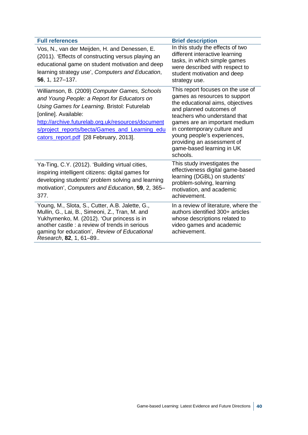| <b>Full references</b>                                                                                                                                                                                                                                                                                                 | <b>Brief description</b>                                                                                                                                                                                                                                                                                                                |
|------------------------------------------------------------------------------------------------------------------------------------------------------------------------------------------------------------------------------------------------------------------------------------------------------------------------|-----------------------------------------------------------------------------------------------------------------------------------------------------------------------------------------------------------------------------------------------------------------------------------------------------------------------------------------|
| Vos, N., van der Meijden, H. and Denessen, E.<br>(2011). 'Effects of constructing versus playing an<br>educational game on student motivation and deep<br>learning strategy use', Computers and Education,<br>56, 1, 127-137.                                                                                          | In this study the effects of two<br>different interactive learning<br>tasks, in which simple games<br>were described with respect to<br>student motivation and deep<br>strategy use.                                                                                                                                                    |
| Williamson, B. (2009) Computer Games, Schools<br>and Young People: a Report for Educators on<br>Using Games for Learning. Bristol: Futurelab<br>[online]. Available:<br>http://archive.futurelab.org.uk/resources/document<br>s/project reports/becta/Games and Learning edu<br>cators report.pdf [28 February, 2013]. | This report focuses on the use of<br>games as resources to support<br>the educational aims, objectives<br>and planned outcomes of<br>teachers who understand that<br>games are an important medium<br>in contemporary culture and<br>young people's experiences,<br>providing an assessment of<br>game-based learning in UK<br>schools. |
| Ya-Ting, C.Y. (2012). 'Building virtual cities,<br>inspiring intelligent citizens: digital games for<br>developing students' problem solving and learning<br>motivation', Computers and Education, 59, 2, 365–<br>377.                                                                                                 | This study investigates the<br>effectiveness digital game-based<br>learning (DGBL) on students'<br>problem-solving, learning<br>motivation, and academic<br>achievement.                                                                                                                                                                |
| Young, M., Slota, S., Cutter, A.B. Jalette, G.,<br>Mullin, G., Lai, B., Simeoni, Z., Tran, M. and<br>Yukhymenko, M. (2012). 'Our princess is in<br>another castle : a review of trends in serious<br>gaming for education', Review of Educational<br>Research, 82, 1, 61-89                                            | In a review of literature, where the<br>authors identified 300+ articles<br>whose descriptions related to<br>video games and academic<br>achievement.                                                                                                                                                                                   |